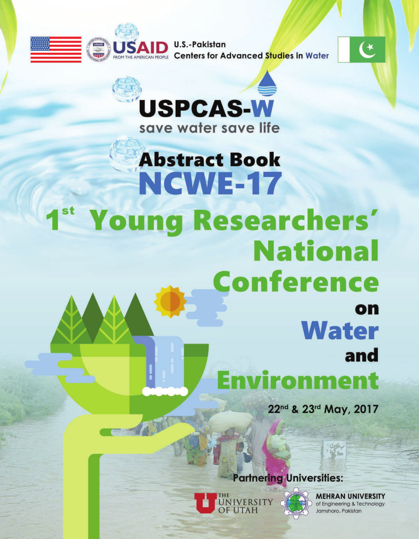



# **Abstract Book NGWE-17 Young Researchers' National Conference** on **Water** and Environment 22nd & 23rd May, 2017

# **Partnering Universities:**



**MEHRAN UNIVERSITY** of Engineering & Technology Jamshoro, Pakistan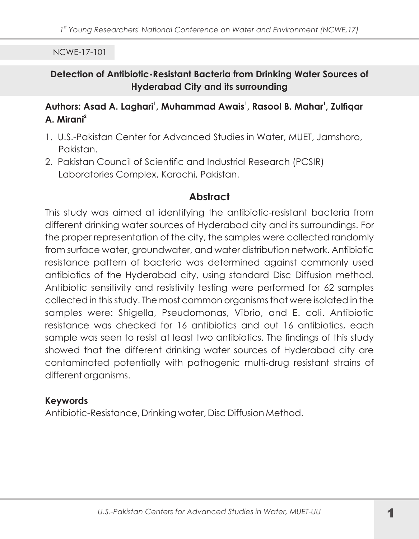#### Detection of Antibiotic-Resistant Bacteria from Drinking Water Sources of **Hyderabad City and its surrounding**

#### Authors: Asad A. Laghari<sup>1</sup>, Muhammad Awais<sup>1</sup>, Rasool B. Mahar<sup>1</sup>, Zulfigar  $\Delta$  Mirani<sup>2</sup>

- 1. U.S.-Pakistan Center for Advanced Studies in Water, MUET, Jamshoro, Pakistan.
- 2. Pakistan Council of Scientific and Industrial Research (PCSIR) Laboratories Complex, Karachi, Pakistan.

# Abstract

This study was aimed at identifying the antibiotic-resistant bacteria from different drinking water sources of Hyderabad city and its surroundings. For the proper representation of the city, the samples were collected randomly from surface water, groundwater, and water distribution network. Antibiotic resistance pattern of bacteria was determined against commonly used antibiotics of the Hyderabad city, using standard Disc Diffusion method. Antibiotic sensitivity and resistivity testing were performed for 62 samples collected in this study. The most common organisms that were isolated in the samples were: Shigella, Pseudomonas, Vibrio, and E. coli. Antibiotic resistance was checked for 16 antibiotics and out 16 antibiotics, each sample was seen to resist at least two antibiotics. The findings of this study showed that the different drinking water sources of Hyderabad city are contaminated potentially with pathogenic multi-drug resistant strains of different organisms.

#### **Keywords**

Antibiotic-Resistance, Drinking water, Disc Diffusion Method.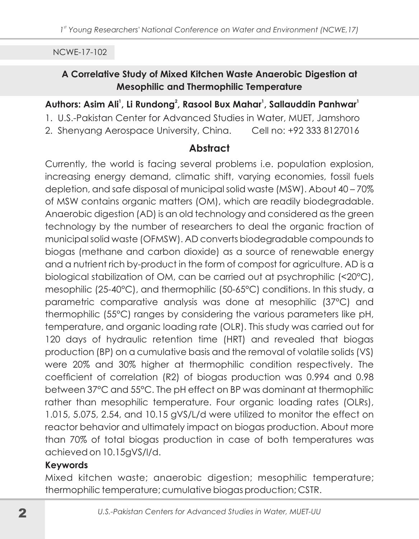## A Correlative Study of Mixed Kitchen Waste Anaerobic Digestion at **Mesophilic and Thermophilic Temperature**

#### Authors: Asim Ali<sup>1</sup>, Li Rundong<sup>2</sup>, Rasool Bux Mahar<sup>1</sup>, Sallauddin Panhwar<sup>1</sup>

- 1. U.S.-Pakistan Center for Advanced Studies in Water, MUET, Jamshoro
- 2. Shenyang Aerospace University, China. Cell no: +92 333 8127016

# **Abstract**

Currently, the world is facing several problems i.e. population explosion, increasing energy demand, climatic shift, varying economies, fossil fuels depletion, and safe disposal of municipal solid waste (MSW). About 40 - 70% of MSW contains organic matters (OM), which are readily biodegradable. Anaerobic digestion (AD) is an old technology and considered as the green technology by the number of researchers to deal the organic fraction of municipal solid waste (OFMSW). AD converts biodegradable compounds to biogas (methane and carbon dioxide) as a source of renewable energy and a nutrient rich by-product in the form of compost for agriculture. AD is a biological stabilization of OM, can be carried out at psychrophilic (<20°C), mesophilic (25-40°C), and thermophilic (50-65°C) conditions. In this study, a parametric comparative analysis was done at mesophilic (37°C) and thermophilic (55°C) ranges by considering the various parameters like pH, temperature, and organic loading rate (OLR). This study was carried out for 120 days of hydraulic retention time (HRT) and revealed that biogas production (BP) on a cumulative basis and the removal of volatile solids (VS) were 20% and 30% higher at thermophilic condition respectively. The coefficient of correlation (R2) of biogas production was 0.994 and 0.98 between 37°C and 55°C. The pH effect on BP was dominant at thermophilic rather than mesophilic temperature. Four organic loading rates (OLRs), 1.015, 5.075, 2.54, and 10.15 gVS/L/d were utilized to monitor the effect on reactor behavior and ultimately impact on biogas production. About more than 70% of total biogas production in case of both temperatures was achieved on 10.15gVS/l/d.

## **Keywords**

Mixed kitchen waste; anaerobic digestion; mesophilic temperature; thermophilic temperature; cumulative biogas production; CSTR.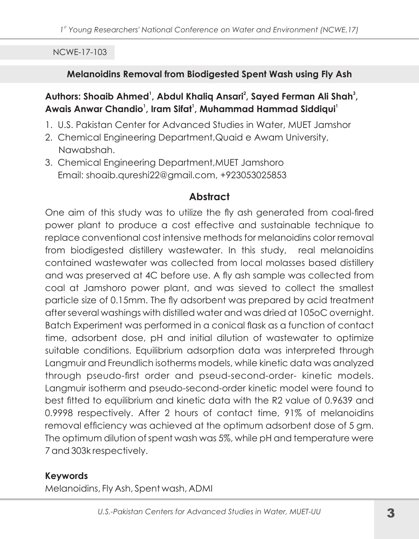### Melanoidins Removal from Biodigested Spent Wash using Fly Ash

Authors: Shoaib Ahmed<sup>1</sup>, Abdul Khaliq Ansari<sup>2</sup>, Sayed Ferman Ali Shah<sup>3</sup>, Awais Anwar Chandio<sup>1</sup>, Iram Sifat<sup>1</sup>, Muhammad Hammad Siddiqui<sup>1</sup>

- 1. U.S. Pakistan Center for Advanced Studies in Water, MUET Jamshor
- 2. Chemical Engineering Department, Quaid e Awam University, Nawabshah.
- 3. Chemical Engineering Department, MUET Jamshoro Email: shoaib.qureshi22@gmail.com, +923053025853

# **Abstract**

One aim of this study was to utilize the fly ash generated from coal-fired power plant to produce a cost effective and sustainable technique to replace conventional cost intensive methods for melanoidins color removal from biodigested distillery wastewater. In this study, real melanoidins contained wastewater was collected from local molasses based distillery and was preserved at 4C before use. A fly ash sample was collected from coal at Jamshoro power plant, and was sieved to collect the smallest particle size of 0.15mm. The fly adsorbent was prepared by acid treatment after several washings with distilled water and was dried at 105oC overnight. Batch Experiment was performed in a conical flask as a function of contact time, adsorbent dose, pH and initial dilution of wastewater to optimize suitable conditions. Equilibrium adsorption data was interpreted through Langmuir and Freundlich isotherms models, while kinetic data was analyzed through pseudo-first order and pseud-second-order- kinetic models. Langmuir isotherm and pseudo-second-order kinetic model were found to best fitted to equilibrium and kinetic data with the R2 value of 0.9639 and 0.9998 respectively. After 2 hours of contact time, 91% of melanoidins removal efficiency was achieved at the optimum adsorbent dose of 5 gm. The optimum dilution of spent wash was 5%, while pH and temperature were 7 and 303k respectively.

## **Keywords**

Melanoidins, Fly Ash, Spent wash, ADMI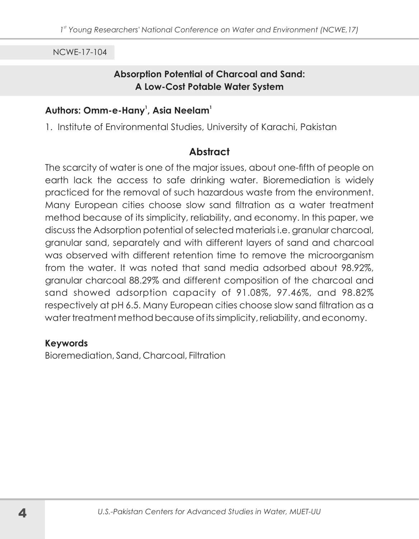#### **Absorption Potential of Charcoal and Sand: A Low-Cost Potable Water System**

#### Authors: Omm-e-Hany<sup>1</sup>, Asia Neelam<sup>1</sup>

1. Institute of Environmental Studies, University of Karachi, Pakistan

## **Abstract**

The scarcity of water is one of the major issues, about one-fifth of people on earth lack the access to safe drinking water. Bioremediation is widely practiced for the removal of such hazardous waste from the environment. Many European cities choose slow sand filtration as a water treatment method because of its simplicity, reliability, and economy. In this paper, we discuss the Adsorption potential of selected materials i.e. granular charcoal, granular sand, separately and with different layers of sand and charcoal was observed with different retention time to remove the microorganism from the water. It was noted that sand media adsorbed about 98.92%. granular charcoal 88.29% and different composition of the charcoal and sand showed adsorption capacity of 91.08%, 97.46%, and 98.82% respectively at pH 6.5. Many European cities choose slow sand filtration as a water treatment method because of its simplicity, reliability, and economy.

#### **Keywords**

Bioremediation, Sand, Charcoal, Filtration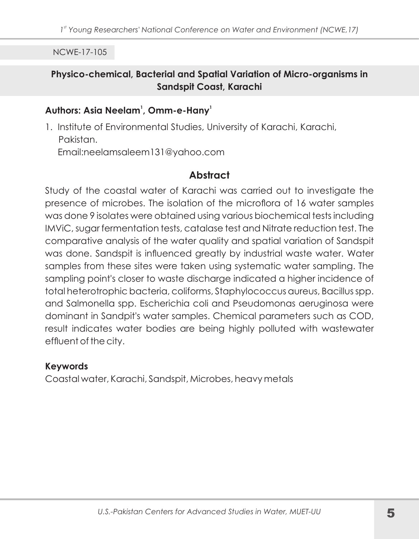#### Physico-chemical, Bacterial and Spatial Variation of Micro-organisms in Sandspit Coast, Karachi

#### Authors: Asia Neelam<sup>1</sup>, Omm-e-Hany<sup>1</sup>

1. Institute of Environmental Studies, University of Karachi, Karachi, Pakistan. Email:neelamsaleem131@yahoo.com

## **Abstract**

Study of the coastal water of Karachi was carried out to investigate the presence of microbes. The isolation of the microflora of 16 water samples was done 9 isolates were obtained using various biochemical tests including IMViC, sugar fermentation tests, catalase test and Nitrate reduction test. The comparative analysis of the water quality and spatial variation of Sandspit was done. Sandspit is influenced greatly by industrial waste water. Water samples from these sites were taken using systematic water sampling. The sampling point's closer to waste discharge indicated a higher incidence of total heterotrophic bacteria, coliforms, Staphylococcus aureus, Bacillus spp. and Salmonella spp. Escherichia coli and Pseudomonas aeruginosa were dominant in Sandpit's water samples. Chemical parameters such as COD, result indicates water bodies are being highly polluted with wastewater effluent of the city.

#### **Keywords**

Coastal water, Karachi, Sandspit, Microbes, heavy metals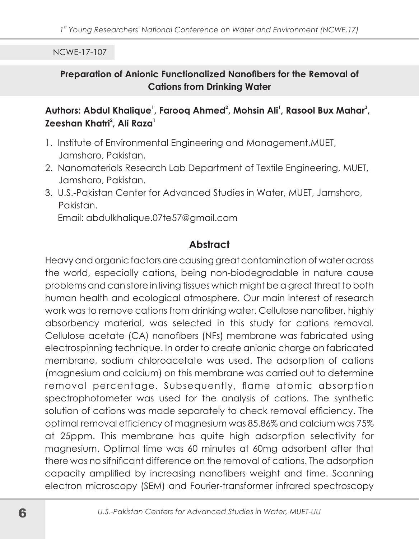#### Preparation of Anionic Functionalized Nanofibers for the Removal of **Cations from Drinking Water**

## Authors: Abdul Khalique<sup>1</sup>, Farooq Ahmed<sup>2</sup>, Mohsin Ali<sup>1</sup>, Rasool Bux Mahar<sup>3</sup>, Zeeshan Khatri<sup>2</sup>, Ali Raza<sup>1</sup>

- 1. Institute of Environmental Engineering and Management, MUET, Jamshoro, Pakistan.
- 2. Nanomaterials Research Lab Department of Textile Engineering, MUET, Jamshoro, Pakistan.
- 3 U.S.-Pakistan Center for Advanced Studies in Water, MUFT, Jamshoro, Pakistan.

Email: abdulkhalique.07te57@gmail.com

# **Abstract**

Heavy and organic factors are causing great contamination of water across the world, especially cations, being non-biodegradable in nature cause problems and can store in living tissues which might be a great threat to both human health and ecological atmosphere. Our main interest of research work was to remove cations from drinking water. Cellulose nanofiber, highly absorbency material, was selected in this study for cations removal. Cellulose acetate (CA) nanofibers (NFs) membrane was fabricated using electrospinning technique. In order to create anionic charge on fabricated membrane, sodium chloroacetate was used. The adsorption of cations (magnesium and calcium) on this membrane was carried out to determine removal percentage. Subsequently, flame atomic absorption spectrophotometer was used for the analysis of cations. The synthetic solution of cations was made separately to check removal efficiency. The optimal removal efficiency of magnesium was 85.86% and calcium was 75% at 25ppm. This membrane has quite high adsorption selectivity for magnesium. Optimal time was 60 minutes at 60mg adsorbent after that there was no sifnificant difference on the removal of cations. The adsorption capacity amplified by increasing nanofibers weight and time. Scanning electron microscopy (SEM) and Fourier-transformer infrared spectroscopy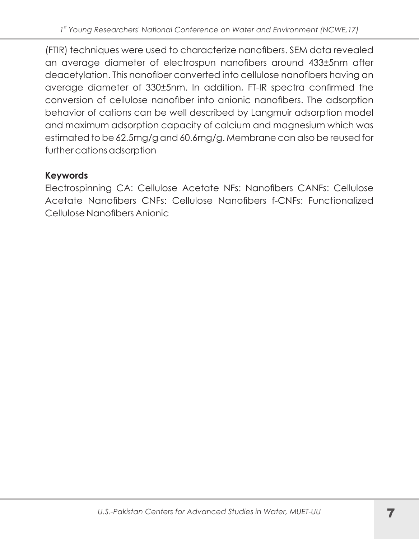(FTIR) techniques were used to characterize nanofibers. SEM data revealed an average diameter of electrospun nanofibers around 433±5nm after deacetylation. This nanofiber converted into cellulose nanofibers having an average diameter of 330±5nm. In addition, FT-IR spectra confirmed the conversion of cellulose nanofiber into anionic nanofibers. The adsorption behavior of cations can be well described by Langmuir adsorption model and maximum adsorption capacity of calcium and magnesium which was estimated to be 62.5mg/g and 60.6mg/g. Membrane can also be reused for further cations adsorption

# **Keywords**

Electrospinning CA: Cellulose Acetate NFs: Nanofibers CANFs: Cellulose Acetate Nanofibers CNEs: Cellulose Nanofibers f-CNEs: Functionalized Cellulose Nanofibers Anionic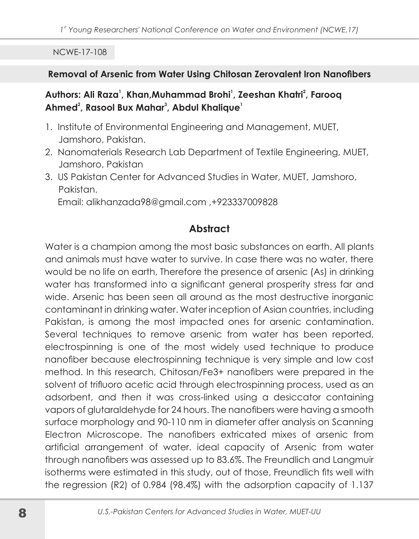#### Removal of Arsenic from Water Using Chitosan Zerovalent Iron Nanofibers

#### Authors: Ali Raza<sup>1</sup>, Khan, Muhammad Brohi<sup>1</sup>, Zeeshan Khatri<sup>2</sup>, Faroog Ahmed<sup>2</sup>, Rasool Bux Mahar<sup>3</sup>, Abdul Khalique<sup>1</sup>

- 1. Institute of Environmental Engineering and Management, MUET, Jamshoro, Pakistan.
- 2. Nanomaterials Research Lab Department of Textile Engineering, MUET, Jamshoro, Pakistan
- 3. US Pakistan Center for Advanced Studies in Water, MUET, Jamshoro, Pakistan.

Email: alikhanzada98@gmail.com, +923337009828

# **Abstract**

Water is a champion among the most basic substances on earth. All plants and animals must have water to survive. In case there was no water, there would be no life on earth, Therefore the presence of arsenic (As) in drinking water has transformed into a significant general prosperity stress far and wide. Arsenic has been seen all around as the most destructive inorganic contaminant in drinking water. Water inception of Asian countries, including Pakistan, is among the most impacted ones for arsenic contamination. Several techniques to remove arsenic from water has been reported, electrospinning is one of the most widely used technique to produce nanofiber because electrospinning technique is very simple and low cost method. In this research, Chitosan/Fe3+ nanofibers were prepared in the solvent of trifluoro acetic acid through electrospinning process, used as an adsorbent, and then it was cross-linked using a desiccator containing vapors of glutaraldehyde for 24 hours. The nanofibers were having a smooth surface morphology and 90-110 nm in diameter after analysis on Scanning Electron Microscope. The nanofibers extricated mixes of arsenic from artificial arrangement of water, ideal capacity of Arsenic from water through nanofibers was assessed up to 83.6%. The Freundlich and Langmuir isotherms were estimated in this study, out of those, Freundlich fits well with the regression (R2) of 0.984 (98.4%) with the adsorption capacity of 1.137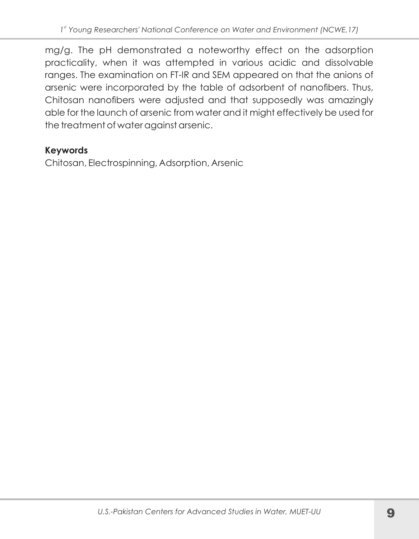mg/g. The pH demonstrated a noteworthy effect on the adsorption practicality, when it was attempted in various acidic and dissolvable ranges. The examination on FT-IR and SEM appeared on that the anions of arsenic were incorporated by the table of adsorbent of nanofibers. Thus, Chitosan nanofibers were adjusted and that supposedly was amazingly able for the launch of arsenic from water and it might effectively be used for the treatment of water against arsenic.

## **Keywords**

Chitosan, Electrospinning, Adsorption, Arsenic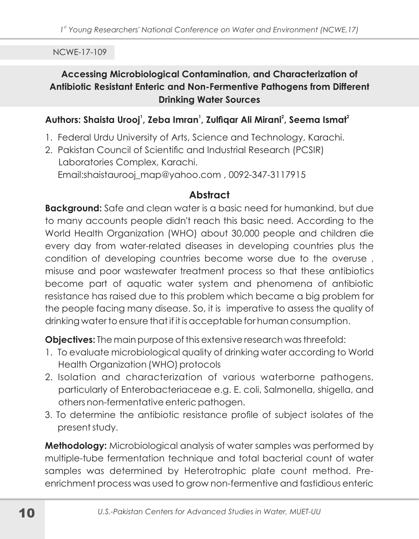# Accessing Microbiological Contamination, and Characterization of Antibiotic Resistant Enteric and Non-Fermentive Pathogens from Different **Drinking Water Sources**

#### Authors: Shaista Urooj<sup>1</sup>, Zeba Imran<sup>1</sup>, Zulfigar Ali Mirani<sup>2</sup>, Seema Ismat<sup>2</sup>

- 1. Federal Urdu University of Arts, Science and Technology, Karachi.
- 2. Pakistan Council of Scientific and Industrial Research (PCSIR) Laboratories Complex, Karachi. Email:shaistaurooj\_map@yahoo.com, 0092-347-3117915

# **Abstract**

**Background:** Safe and clean water is a basic need for humankind, but due to many accounts people didn't reach this basic need. According to the World Health Organization (WHO) about 30,000 people and children die every day from water-related diseases in developing countries plus the condition of developing countries become worse due to the overuse, misuse and poor wastewater treatment process so that these antibiotics become part of aquatic water system and phenomena of antibiotic resistance has raised due to this problem which became a big problem for the people facing many disease. So, it is imperative to assess the quality of drinking water to ensure that if it is acceptable for human consumption.

**Objectives:** The main purpose of this extensive research was threefold:

- 1. To evaluate microbiological quality of drinking water according to World Health Organization (WHO) protocols
- 2. Isolation and characterization of various waterborne pathogens, particularly of Enterobacteriaceae e.g. E. coli, Salmonella, shigella, and others non-fermentative enteric pathogen.
- 3. To determine the antibiotic resistance profile of subject isolates of the present study.

Methodology: Microbiological analysis of water samples was performed by multiple-tube fermentation technique and total bacterial count of water samples was determined by Heterotrophic plate count method. Preenrichment process was used to grow non-fermentive and fastidious enteric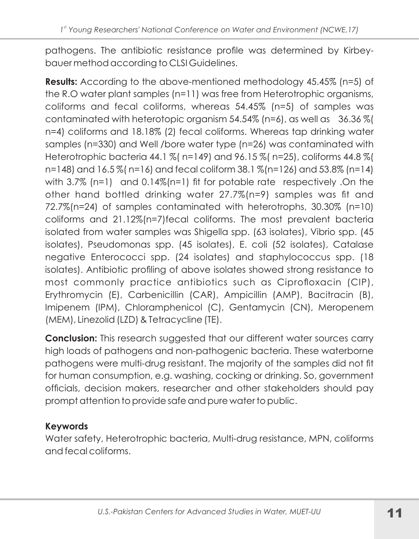pathogens. The antibiotic resistance profile was determined by Kirbeybauer method according to CLSI Guidelines.

**Results:** According to the above-mentioned methodology 45.45% (n=5) of the R.O water plant samples (n=11) was free from Heterotrophic organisms, coliforms and fecal coliforms, whereas 54.45% (n=5) of samples was contaminated with heterotopic organism 54.54% (n=6), as well as 36.36 % ( n=4) coliforms and 18.18% (2) fecal coliforms. Whereas tap drinking water samples (n=330) and Well /bore water type (n=26) was contaminated with Heterotrophic bacteria 44.1 % (n=149) and 96.15 % (n=25), coliforms 44.8 % ( n=148) and 16.5% (n=16) and fecal coliform 38.1% (n=126) and 53.8% (n=14) with 3.7% (n=1) and 0.14% (n=1) fit for potable rate respectively. On the other hand bottled drinking water 27.7%(n=9) samples was fit and 72.7%(n=24) of samples contaminated with heterotrophs, 30.30% (n=10) coliforms and 21.12%(n=7)fecal coliforms. The most prevalent bacteria isolated from water samples was Shigella spp. (63 isolates), Vibrio spp. (45 isolates), Pseudomonas spp. (45 isolates), E. coli (52 isolates), Catalase negative Enterococci spp. (24 isolates) and staphylococcus spp. (18 isolates). Antibiotic profiling of above isolates showed strong resistance to most commonly practice antibiotics such as Ciprofloxacin (CIP), Erythromycin (E), Carbenicillin (CAR), Ampicillin (AMP), Bacitracin (B), Imipenem (IPM), Chloramphenicol (C), Gentamycin (CN), Meropenem (MEM), Linezolid (LZD) & Tetracycline (TE).

**Conclusion:** This research suggested that our different water sources carry high loads of pathogens and non-pathogenic bacteria. These waterborne pathogens were multi-drug resistant. The majority of the samples did not fit for human consumption, e.g. washing, cocking or drinking. So, government officials, decision makers, researcher and other stakeholders should pay prompt attention to provide safe and pure water to public.

## **Keywords**

Water safety, Heterotrophic bacteria, Multi-drug resistance, MPN, coliforms and fecal coliforms.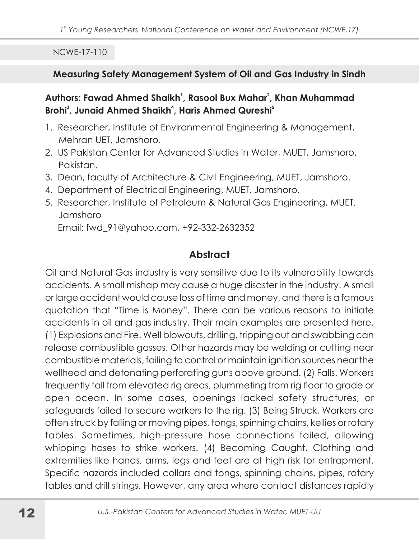#### Measuring Safety Management System of Oil and Gas Industry in Sindh

#### Authors: Fawad Ahmed Shaikh<sup>1</sup>, Rasool Bux Mahar<sup>2</sup>, Khan Muhammad Brohi<sup>3</sup>, Junaid Ahmed Shaikh<sup>4</sup>, Haris Ahmed Qureshi<sup>5</sup>

- 1. Researcher, Institute of Environmental Engineering & Management, Mehran UFT, Jamshoro
- 2. US Pakistan Center for Advanced Studies in Water, MUET, Jamshoro, Pakistan.
- 3. Dean, faculty of Architecture & Civil Engineering, MUET, Jamshoro.
- 4. Department of Electrical Engineering, MUET, Jamshoro.
- 5. Researcher, Institute of Petroleum & Natural Gas Engineering, MUET, Jamshoro

Email: fwd 91@yahoo.com, +92-332-2632352

# **Abstract**

Oil and Natural Gas industry is very sensitive due to its vulnerability towards accidents. A small mishap may cause a huge disaster in the industry. A small or large accident would cause loss of time and money, and there is a famous quotation that "Time is Money". There can be various reasons to initiate accidents in oil and gas industry. Their main examples are presented here. (1) Explosions and Fire. Well blowouts, drilling, tripping out and swabbing can release combustible gasses. Other hazards may be welding or cutting near combustible materials, failing to control or maintain ignition sources near the wellhead and detonating perforating guns above ground. (2) Falls. Workers frequently fall from elevated rig areas, plummeting from rig floor to grade or open ocean. In some cases, openings lacked safety structures, or safeguards failed to secure workers to the rig. (3) Being Struck. Workers are often struck by falling or moving pipes, tongs, spinning chains, kellies or rotary tables. Sometimes, high-pressure hose connections failed, allowing whipping hoses to strike workers. (4) Becoming Caught. Clothing and extremities like hands, arms, legs and feet are at high risk for entrapment. Specific hazards included collars and tongs, spinning chains, pipes, rotary tables and drill strings. However, any area where contact distances rapidly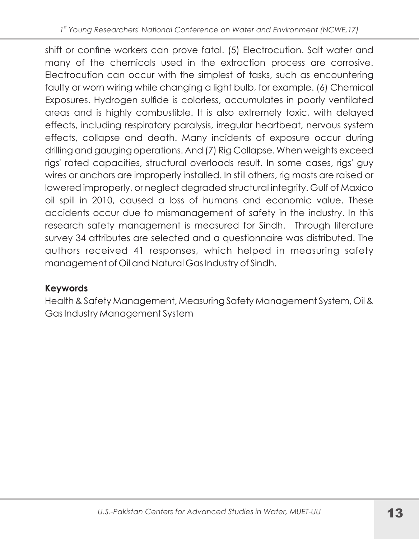shift or confine workers can prove fatal. (5) Electrocution. Salt water and many of the chemicals used in the extraction process are corrosive. Electrocution can occur with the simplest of tasks, such as encountering faulty or worn wiring while changing a light bulb, for example. (6) Chemical Exposures. Hydrogen sulfide is colorless, accumulates in poorly ventilated areas and is highly combustible. It is also extremely toxic, with delayed effects, including respiratory paralysis, irregular heartbeat, nervous system effects, collapse and death. Many incidents of exposure occur during drilling and gauging operations. And (7) Rig Collapse. When weights exceed rigs' rated capacities, structural overloads result. In some cases, rigs' guy wires or anchors are improperly installed. In still others, rig masts are raised or lowered improperly, or neglect degraded structural integrity. Gulf of Maxico oil spill in 2010, caused a loss of humans and economic value. These accidents occur due to mismanagement of safety in the industry. In this research safety management is measured for Sindh. Through literature survey 34 attributes are selected and a questionnaire was distributed. The authors received 41 responses, which helped in measuring safety management of Oil and Natural Gas Industry of Sindh.

# **Keywords**

Health & Safety Management, Measuring Safety Management System, Oil & Gas Industry Management System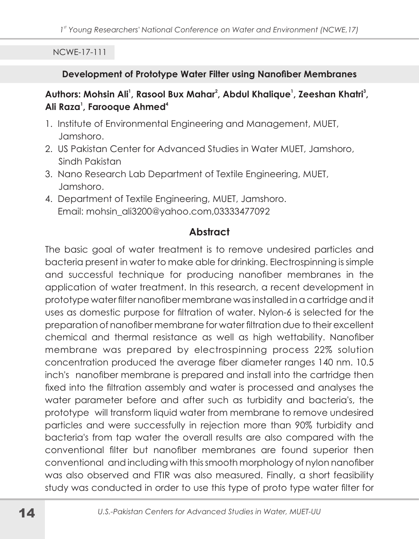#### Development of Prototype Water Filter using Nanofiber Membranes

## Authors: Mohsin Ali<sup>1</sup>, Rasool Bux Mahar<sup>2</sup>, Abdul Khalique<sup>1</sup>, Zeeshan Khatri<sup>3</sup>, Ali Raza<sup>1</sup>, Farooaue Ahmed<sup>4</sup>

- 1. Institute of Environmental Engineering and Management, MUET, Jamshoro.
- 2. US Pakistan Center for Advanced Studies in Water MUET, Jamshoro, Sindh Pakistan
- 3. Nano Research Lab Department of Textile Engineering, MUET, Jamshoro.
- 4. Department of Textile Engineering, MUET, Jamshoro. Email: mohsin\_ali3200@vahoo.com.03333477092

## **Abstract**

The basic goal of water treatment is to remove undesired particles and bacteria present in water to make able for drinking. Electrospinning is simple and successful technique for producing nanofiber membranes in the application of water treatment. In this research, a recent development in prototype water filter nanofiber membrane was installed in a cartridge and it uses as domestic purpose for filtration of water. Nylon-6 is selected for the preparation of nanofiber membrane for water filtration due to their excellent chemical and thermal resistance as well as high wettability. Nanofiber membrane was prepared by electrospinning process 22% solution concentration produced the average fiber diameter ranges 140 nm. 10.5 inch's nanofiber membrane is prepared and install into the cartridge then fixed into the filtration assembly and water is processed and analyses the water parameter before and after such as turbidity and bacteria's, the prototype will transform liquid water from membrane to remove undesired particles and were successfully in rejection more than 90% turbidity and bacteria's from tap water the overall results are also compared with the conventional filter but nanofiber membranes are found superior then conventional and including with this smooth morphology of nylon nanofiber was also observed and FTIR was also measured. Finally, a short feasibility study was conducted in order to use this type of proto type water filter for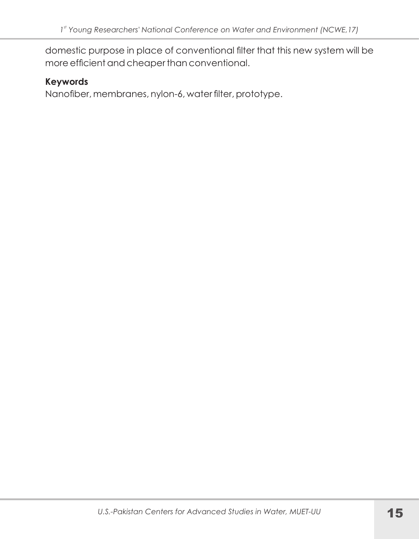domestic purpose in place of conventional filter that this new system will be more efficient and cheaper than conventional.

#### **Keywords**

Nanofiber, membranes, nylon-6, water filter, prototype.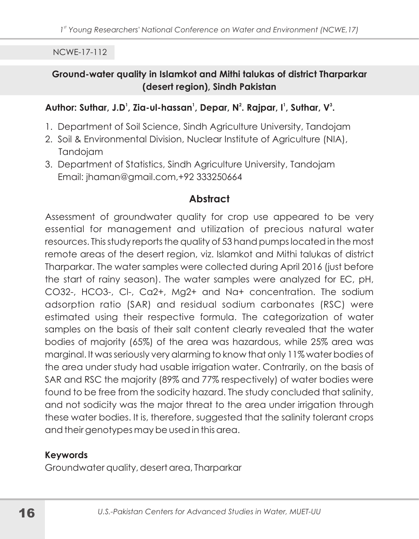#### Ground-water quality in Islamkot and Mithi talukas of district Tharparkar (desert region), Sindh Pakistan

#### Author: Suthar, J.D<sup>1</sup>, Zia-ul-hassan<sup>1</sup>, Depar, N<sup>2</sup>. Rajpar, I<sup>1</sup>, Suthar, V<sup>3</sup>.

- 1. Department of Soil Science, Sindh Agriculture University, Tandojam
- 2. Soil & Environmental Division, Nuclear Institute of Agriculture (NIA), Tandojam
- 3. Department of Statistics, Sindh Agriculture University, Tandojam Email: jhaman@gmail.com,+92 333250664

## **Abstract**

Assessment of groundwater quality for crop use appeared to be very essential for management and utilization of precious natural water resources. This study reports the quality of 53 hand pumps located in the most remote areas of the desert reaion, viz. Islamkot and Mithi talukas of district Tharparkar. The water samples were collected during April 2016 (just before the start of rainy season). The water samples were analyzed for EC, pH, CO32-, HCO3-, Cl-, Ca2+, Mg2+ and Na+ concentration. The sodium adsorption ratio (SAR) and residual sodium carbonates (RSC) were estimated using their respective formula. The categorization of water samples on the basis of their salt content clearly revealed that the water bodies of majority (65%) of the area was hazardous, while 25% area was marginal. It was seriously very alarming to know that only 11% water bodies of the area under study had usable irrigation water. Contrarily, on the basis of SAR and RSC the majority (89% and 77% respectively) of water bodies were found to be free from the sodicity hazard. The study concluded that salinity, and not sodicity was the major threat to the area under irrigation through these water bodies. It is, therefore, suggested that the salinity tolerant crops and their genotypes may be used in this area.

#### **Keywords**

Groundwater quality, desert area, Tharparkar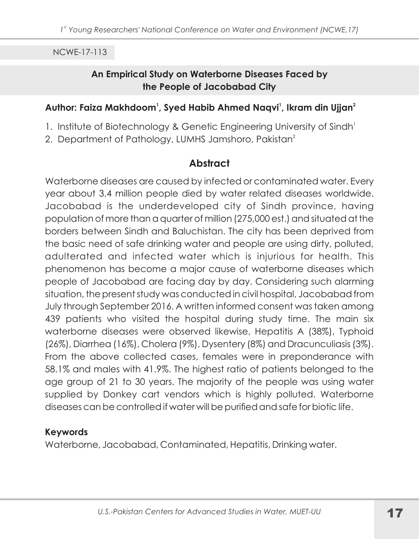#### An Empirical Study on Waterborne Diseases Faced by the People of Jacobabad City

#### Author: Faiza Makhdoom<sup>1</sup>, Syed Habib Ahmed Naqvi<sup>1</sup>, Ikram din Ujjan<sup>2</sup>

- 1. Institute of Biotechnology & Genetic Engineering University of Sindh<sup>1</sup>
- 2. Department of Pathology, LUMHS Jamshoro, Pakistan<sup>2</sup>

#### **Abstract**

Waterborne diseases are caused by infected or contaminated water. Every year about 3.4 million people died by water related diseases worldwide. Jacobabad is the underdeveloped city of Sindh province, having population of more than a quarter of million (275,000 est.) and situated at the borders between Sindh and Baluchistan. The city has been deprived from the basic need of safe drinking water and people are using dirty, polluted, adulterated and infected water which is injurious for health. This phenomenon has become a major cause of waterborne diseases which people of Jacobabad are facing day by day. Considering such alarming situation, the present study was conducted in civil hospital, Jacobabad from July through September 2016. A written informed consent was taken among 439 patients who visited the hospital during study time. The main six waterborne diseases were observed likewise, Hepatitis A (38%), Typhoid (26%), Diarrhea (16%), Cholera (9%), Dysentery (8%) and Dracunculiasis (3%). From the above collected cases, females were in preponderance with 58.1% and males with 41.9%. The highest ratio of patients belonged to the age group of 21 to 30 years. The majority of the people was using water supplied by Donkey cart vendors which is highly polluted. Waterborne diseases can be controlled if water will be purified and safe for biotic life.

#### **Keywords**

Waterborne, Jacobabad, Contaminated, Hepatitis, Drinking water.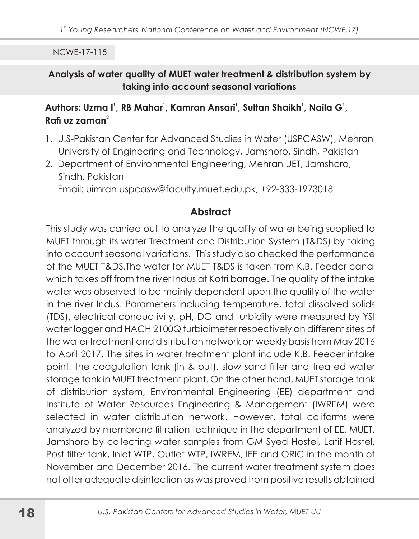#### Analysis of water quality of MUET water treatment & distribution system by taking into account seasonal variations

#### Authors: Uzma I<sup>1</sup>, RB Mahar<sup>1</sup>, Kamran Ansari<sup>1</sup>, Sultan Shaikh<sup>1</sup>, Naila G<sup>1</sup>, Rafi uz zaman $^2$

- 1. U.S-Pakistan Center for Advanced Studies in Water (USPCASW), Mehran University of Engineering and Technology, Jamshoro, Sindh, Pakistan
- 2. Department of Environmental Engineering, Mehran UET, Jamshoro, Sindh, Pakistan

Email: uimran.uspcasw@faculty.muet.edu.pk, +92-333-1973018

# **Abstract**

This study was carried out to analyze the quality of water being supplied to MUET through its water Treatment and Distribution System (T&DS) by taking into account seasonal variations. This study also checked the performance of the MUET T&DS. The water for MUET T&DS is taken from K.B. Feeder canal which takes off from the river Indus at Kotri barrage. The quality of the intake water was observed to be mainly dependent upon the quality of the water in the river Indus. Parameters including temperature, total dissolved solids (TDS), electrical conductivity, pH, DO and turbidity were measured by YSI water logger and HACH 2100Q turbidimeter respectively on different sites of the water treatment and distribution network on weekly basis from May 2016 to April 2017. The sites in water treatment plant include K.B. Feeder intake point, the coagulation tank (in & out), slow sand filter and treated water storage tank in MUET treatment plant. On the other hand, MUET storage tank of distribution system, Environmental Engineering (EE) department and Institute of Water Resources Engineering & Management (IWREM) were selected in water distribution network. However, total coliforms were analyzed by membrane filtration technique in the department of EE, MUET, Jamshoro by collecting water samples from GM Syed Hostel, Latif Hostel, Post filter tank, Inlet WTP, Outlet WTP, IWREM, IEE and ORIC in the month of November and December 2016. The current water treatment system does not offer adequate disinfection as was proved from positive results obtained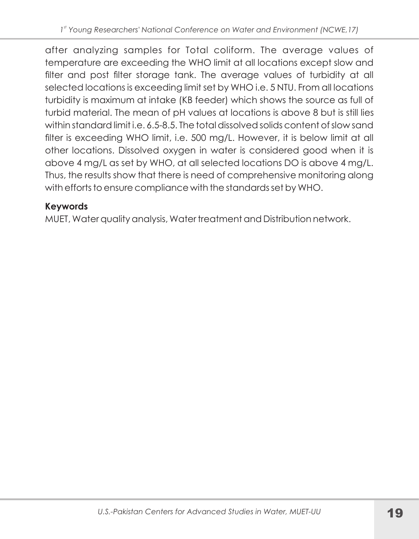after analyzing samples for Total coliform. The average values of temperature are exceeding the WHO limit at all locations except slow and filter and post filter storage tank. The average values of turbidity at all selected locations is exceeding limit set by WHO i.e. 5 NTU. From all locations turbidity is maximum at intake (KB feeder) which shows the source as full of turbid material. The mean of pH values at locations is above 8 but is still lies within standard limit i.e. 6.5-8.5. The total dissolved solids content of slow sand filter is exceeding WHO limit, i.e. 500 mg/L. However, it is below limit at all other locations. Dissolved oxygen in water is considered good when it is above 4 mg/L as set by WHO, at all selected locations DO is above 4 mg/L. Thus, the results show that there is need of comprehensive monitoring along with efforts to ensure compliance with the standards set by WHO.

# **Keywords**

MUET, Water quality analysis, Water treatment and Distribution network.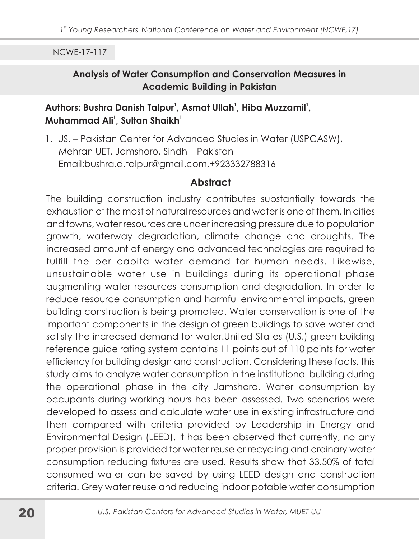#### Analysis of Water Consumption and Conservation Measures in **Academic Building in Pakistan**

### Authors: Bushra Danish Talpur<sup>1</sup>, Asmat Ullah<sup>1</sup>, Hiba Muzzamil<sup>1</sup>, Muhammad Ali<sup>1</sup>. Sultan Shaikh<sup>1</sup>

1. US. - Pakistan Center for Advanced Studies in Water (USPCASW), Mehran UET, Jamshoro, Sindh - Pakistan Email:bushra.d.talpur@gmail.com,+923332788316

#### **Abstract**

The building construction industry contributes substantially towards the exhaustion of the most of natural resources and water is one of them. In cities and towns, water resources are under increasing pressure due to population growth, waterway degradation, climate change and droughts. The increased amount of energy and advanced technologies are required to fulfill the per capita water demand for human needs. Likewise, unsustainable water use in buildings during its operational phase augmenting water resources consumption and degradation. In order to reduce resource consumption and harmful environmental impacts, green building construction is being promoted. Water conservation is one of the important components in the design of green buildings to save water and satisfy the increased demand for water. United States (U.S.) green building reference guide rating system contains 11 points out of 110 points for water efficiency for building design and construction. Considering these facts, this study aims to analyze water consumption in the institutional building during the operational phase in the city Jamshoro. Water consumption by occupants during working hours has been assessed. Two scenarios were developed to assess and calculate water use in existing infrastructure and then compared with criteria provided by Leadership in Energy and Environmental Design (LEED). It has been observed that currently, no any proper provision is provided for water reuse or recycling and ordinary water consumption reducing fixtures are used. Results show that 33.50% of total consumed water can be saved by using LEED design and construction criteria. Grey water reuse and reducing indoor potable water consumption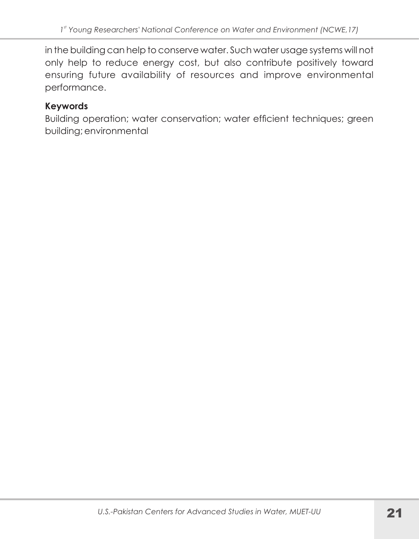in the building can help to conserve water. Such water usage systems will not only help to reduce energy cost, but also contribute positively toward ensuring future availability of resources and improve environmental performance.

## **Keywords**

Building operation; water conservation; water efficient techniques; green building; environmental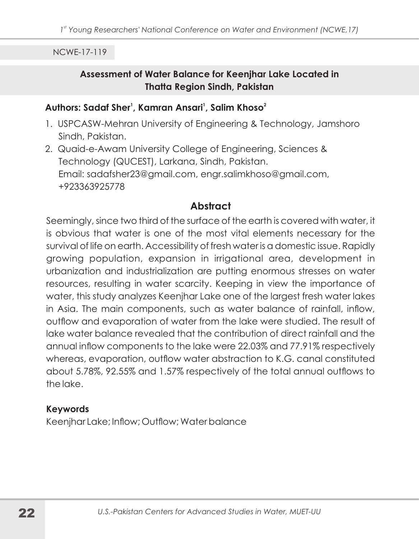#### Assessment of Water Balance for Keenjhar Lake Located in **Thatta Region Sindh, Pakistan**

#### Authors: Sadaf Sher<sup>1</sup>, Kamran Ansari<sup>1</sup>, Salim Khoso<sup>2</sup>

- 1. USPCASW-Mehran University of Engineering & Technology, Jamshoro Sindh, Pakistan.
- 2. Quaid-e-Awam University College of Engineering, Sciences & Technology (QUCEST), Larkana, Sindh, Pakistan. Email: sadafsher23@gmail.com, engr.salimkhoso@gmail.com, +923363925778

#### Abstract

Seemingly, since two third of the surface of the earth is covered with water, it is obvious that water is one of the most vital elements necessary for the survival of life on earth. Accessibility of fresh water is a domestic issue. Rapidly growing population, expansion in irrigational area, development in urbanization and industrialization are putting enormous stresses on water resources, resulting in water scarcity. Keeping in view the importance of water, this study analyzes Keenjhar Lake one of the largest fresh water lakes in Asia. The main components, such as water balance of rainfall, inflow, outflow and evaporation of water from the lake were studied. The result of lake water balance revealed that the contribution of direct rainfall and the annual inflow components to the lake were 22.03% and 77.91% respectively whereas, evaporation, outflow water abstraction to K.G. canal constituted about 5.78%, 92.55% and 1.57% respectively of the total annual outflows to the lake.

#### **Keywords**

Keenjhar Lake; Inflow; Outflow; Water balance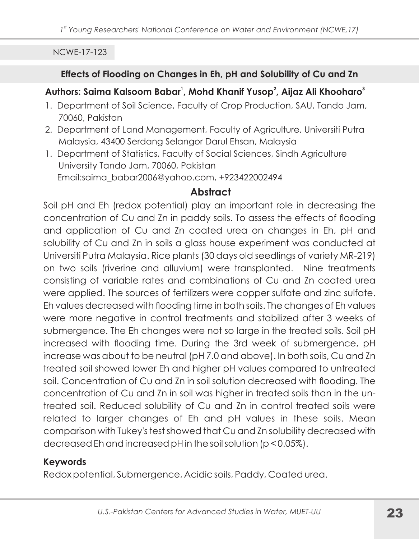#### Effects of Flooding on Changes in Eh, pH and Solubility of Cu and Zn

### Authors: Saima Kalsoom Babar<sup>1</sup>, Mohd Khanif Yusop<sup>2</sup>, Aijaz Ali Khooharo<sup>3</sup>

- 1. Department of Soil Science, Faculty of Crop Production, SAU, Tando Jam, 70060, Pakistan
- 2. Department of Land Management, Faculty of Agriculture, Universiti Putra Malaysia, 43400 Serdang Selangor Darul Ehsan, Malaysia
- 1. Department of Statistics, Faculty of Social Sciences, Sindh Agriculture University Tando Jam, 70060, Pakistan Email:saima\_babar2006@yahoo.com, +923422002494

## **Abstract**

Soil pH and Eh (redox potential) play an important role in decreasing the concentration of Cu and Zn in paddy soils. To assess the effects of flooding and application of Cu and Zn coated urea on changes in Eh, pH and solubility of Cu and Zn in soils a glass house experiment was conducted at Universiti Putra Malaysia. Rice plants (30 days old seedlings of variety MR-219) on two soils (riverine and alluvium) were transplanted. Nine treatments consisting of variable rates and combinations of Cu and Zn coated urea were applied. The sources of fertilizers were copper sulfate and zinc sulfate. Eh values decreased with flooding time in both soils. The changes of Eh values were more negative in control treatments and stabilized after 3 weeks of submergence. The Eh changes were not so large in the treated soils. Soil pH increased with flooding time. During the 3rd week of submergence, pH increase was about to be neutral (pH7.0 and above). In both soils, Cu and Zn treated soil showed lower Eh and higher pH values compared to untreated soil. Concentration of Cu and Zn in soil solution decreased with flooding. The concentration of Cu and Zn in soil was higher in treated soils than in the untreated soil. Reduced solubility of Cu and Zn in control treated soils were related to larger changes of Eh and pH values in these soils. Mean comparison with Tukey's test showed that Cu and Zn solubility decreased with decreased Eh and increased pH in the soil solution (p < 0.05%).

## **Keywords**

Redox potential, Submergence, Acidic soils, Paddy, Coated urea.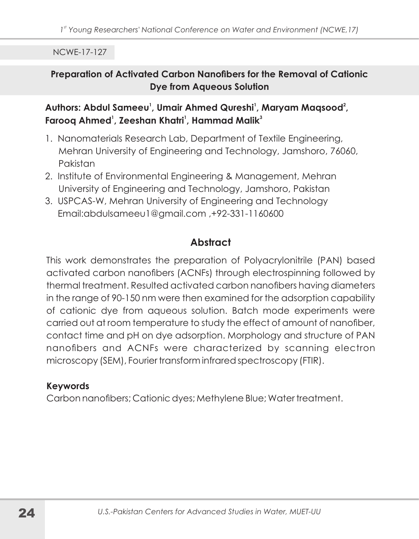#### Preparation of Activated Carbon Nanofibers for the Removal of Cationic **Dye from Aqueous Solution**

## Authors: Abdul Sameeu<sup>1</sup>, Umair Ahmed Qureshi<sup>1</sup>, Maryam Magsood<sup>2</sup>, Faroog Ahmed<sup>1</sup>, Zeeshan Khatri<sup>1</sup>, Hammad Malik<sup>3</sup>

- 1. Nanomaterials Research Lab, Department of Textile Engineering, Mehran University of Engineering and Technology, Jamshoro, 76060, Pakistan
- 2. Institute of Environmental Engineering & Management, Mehran University of Engineering and Technology, Jamshoro, Pakistan
- 3. USPCAS-W, Mehran University of Engineering and Technology Email:abdulsameeu1@gmail.com, +92-331-1160600

# **Abstract**

This work demonstrates the preparation of Polyacrylonitrile (PAN) based activated carbon nanofibers (ACNFs) through electrospinning followed by thermal treatment. Resulted activated carbon nanofibers having diameters in the range of 90-150 nm were then examined for the adsorption capability of cationic dye from aqueous solution. Batch mode experiments were carried out at room temperature to study the effect of amount of nanofiber, contact time and pH on dye adsorption. Morphology and structure of PAN nanofibers and ACNFs were characterized by scanning electron microscopy (SEM), Fourier transform infrared spectroscopy (FTIR).

#### **Keywords**

Carbon nanofibers; Cationic dyes; Methylene Blue; Water treatment.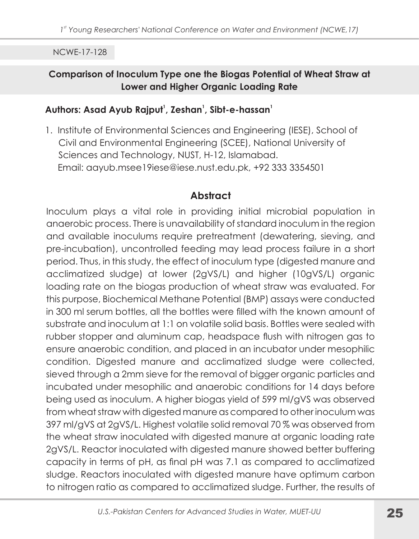#### Comparison of Inoculum Type one the Biogas Potential of Wheat Straw at Lower and Higher Organic Loading Rate

#### Authors: Asad Ayub Rajput<sup>1</sup>, Zeshan<sup>1</sup>, Sibt-e-hassan<sup>1</sup>

1. Institute of Environmental Sciences and Engineering (IESE), School of Civil and Environmental Engineering (SCEE), National University of Sciences and Technology, NUST, H-12, Islamabad. Email: aayub.msee19iese@iese.nust.edu.pk, +92 333 3354501

# **Abstract**

Inoculum plays a vital role in providing initial microbial population in anaerobic process. There is unavailability of standard inoculum in the region and available inoculums require pretreatment (dewatering, sieving, and pre-incubation), uncontrolled feeding may lead process failure in a short period. Thus, in this study, the effect of inoculum type (digested manure and acclimatized sludge) at lower (2gVS/L) and higher (10gVS/L) organic loading rate on the biogas production of wheat straw was evaluated. For this purpose, Biochemical Methane Potential (BMP) assays were conducted in 300 ml serum bottles, all the bottles were filled with the known amount of substrate and inoculum at 1:1 on volatile solid basis. Bottles were sealed with rubber stopper and aluminum cap, headspace flush with nitrogen gas to ensure anaerobic condition, and placed in an incubator under mesophilic condition. Digested manure and acclimatized sludge were collected, sieved through a 2mm sieve for the removal of bigger organic particles and incubated under mesophilic and anaerobic conditions for 14 days before being used as inoculum. A higher biogas yield of 599 ml/gVS was observed from wheat straw with digested manure as compared to other inoculum was 397 ml/qVS at 2qVS/L. Highest volatile solid removal 70 % was observed from the wheat straw inoculated with digested manure at organic loading rate 2gVS/L. Reactor inoculated with digested manure showed better buffering capacity in terms of pH, as final pH was 7.1 as compared to acclimatized sludge. Reactors inoculated with digested manure have optimum carbon to nitrogen ratio as compared to acclimatized sludge. Further, the results of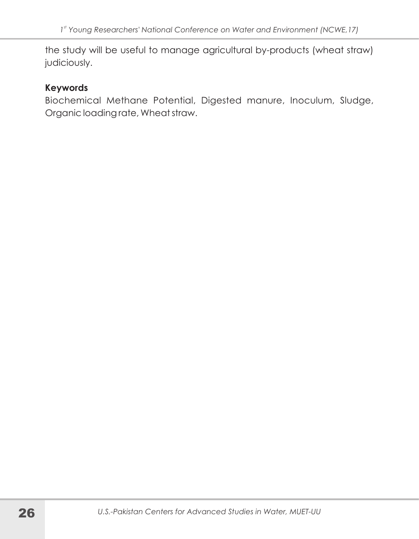the study will be useful to manage agricultural by-products (wheat straw) judiciously.

#### **Keywords**

Biochemical Methane Potential, Digested manure, Inoculum, Sludge, Organic loading rate, Wheat straw.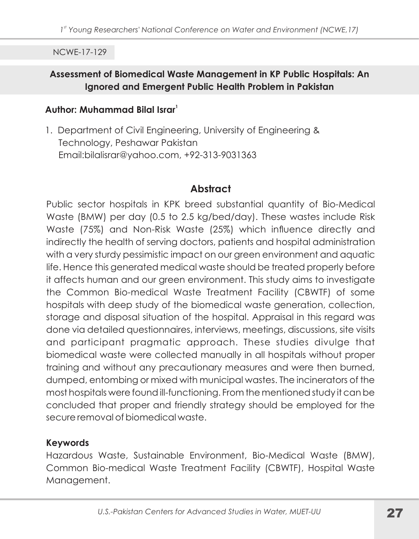#### Assessment of Biomedical Waste Management in KP Public Hospitals: An Ignored and Emergent Public Health Problem in Pakistan

#### Author: Muhammad Bilal Israr<sup>1</sup>

1. Department of Civil Engineering, University of Engineering & Technology, Peshawar Pakistan Email:bilalisrar@yahoo.com, +92-313-9031363

## **Abstract**

Public sector hospitals in KPK breed substantial quantity of Bio-Medical Waste (BMW) per day (0.5 to 2.5 kg/bed/day). These wastes include Risk Waste (75%) and Non-Risk Waste (25%) which influence directly and indirectly the health of serving doctors, patients and hospital administration with a very sturdy pessimistic impact on our green environment and aquatic life. Hence this generated medical waste should be treated properly before it affects human and our green environment. This study aims to investigate the Common Bio-medical Waste Treatment Facility (CBWTF) of some hospitals with deep study of the biomedical waste generation, collection, storage and disposal situation of the hospital. Appraisal in this regard was done via detailed questionnaires, interviews, meetings, discussions, site visits and participant pragmatic approach. These studies divulge that biomedical waste were collected manually in all hospitals without proper training and without any precautionary measures and were then burned, dumped, entombing or mixed with municipal wastes. The incinerators of the most hospitals were found ill-functioning. From the mentioned study it can be concluded that proper and friendly strategy should be employed for the secure removal of biomedical waste.

#### **Keywords**

Hazardous Waste, Sustainable Environment, Bio-Medical Waste (BMW), Common Bio-medical Waste Treatment Facility (CBWTF), Hospital Waste Management.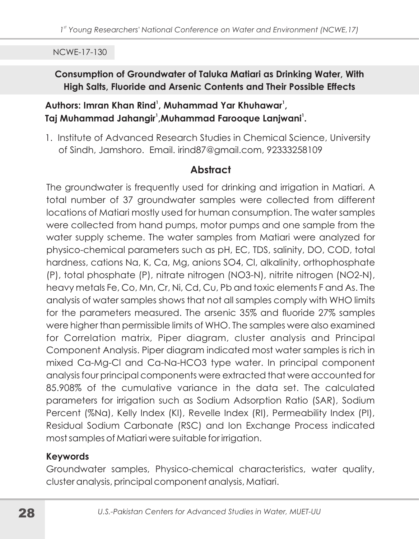## Consumption of Groundwater of Taluka Matiari as Drinking Water, With High Salts, Fluoride and Arsenic Contents and Their Possible Effects

## Authors: Imran Khan Rind<sup>1</sup>, Muhammad Yar Khuhawar<sup>1</sup>, Taj Muhammad Jahangir<sup>1</sup>, Muhammad Farooque Lanjwani<sup>1</sup>.

1. Institute of Advanced Research Studies in Chemical Science, University of Sindh, Jamshoro. Email. irind87@gmail.com, 92333258109

# **Abstract**

The groundwater is frequently used for drinking and irrigation in Matiari. A total number of 37 groundwater samples were collected from different locations of Matiari mostly used for human consumption. The water samples were collected from hand pumps, motor pumps and one sample from the water supply scheme. The water samples from Matiari were analyzed for physico-chemical parameters such as pH, EC, TDS, salinity, DO, COD, total hardness, cations Na, K, Ca, Mg, anions SO4, CI, alkalinity, orthophosphate (P), total phosphate (P), nitrate nitrogen (NO3-N), nitrite nitrogen (NO2-N), heavy metals Fe, Co, Mn, Cr, Ni, Cd, Cu, Pb and toxic elements F and As. The analysis of water samples shows that not all samples comply with WHO limits for the parameters measured. The arsenic 35% and fluoride 27% samples were higher than permissible limits of WHO. The samples were also examined for Correlation matrix, Piper diagram, cluster analysis and Principal Component Analysis. Piper diagram indicated most water samples is rich in mixed Ca-Mg-CI and Ca-Na-HCO3 type water. In principal component analysis four principal components were extracted that were accounted for 85,908% of the cumulative variance in the data set. The calculated parameters for irrigation such as Sodium Adsorption Ratio (SAR), Sodium Percent (%Na), Kelly Index (KI), Revelle Index (RI), Permeability Index (PI), Residual Sodium Carbonate (RSC) and Ion Exchange Process indicated most samples of Matiari were suitable for irrigation.

## **Keywords**

Groundwater samples, Physico-chemical characteristics, water quality, cluster analysis, principal component analysis, Matiari.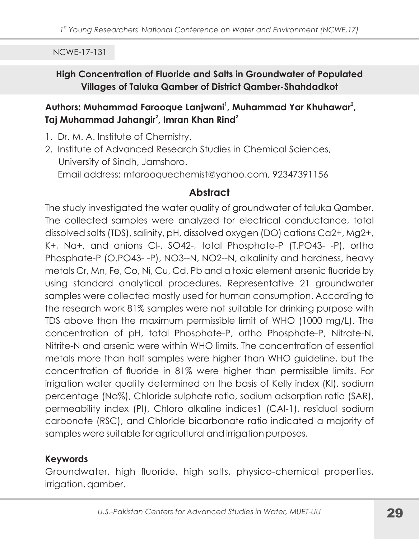#### High Concentration of Fluoride and Salts in Groundwater of Populated Villages of Taluka Qamber of District Qamber-Shahdadkot

## Authors: Muhammad Farooque Lanjwani<sup>1</sup>, Muhammad Yar Khuhawar<sup>2</sup>, Taj Muhammad Jahangir<sup>2</sup>, Imran Khan Rind<sup>2</sup>

- 1. Dr. M. A. Institute of Chemistry.
- 2. Institute of Advanced Research Studies in Chemical Sciences, University of Sindh, Jamshoro. Email address: mfarooquechemist@yahoo.com, 92347391156

## **Abstract**

The study investigated the water quality of groundwater of taluka Qamber. The collected samples were analyzed for electrical conductance, total dissolved salts (TDS), salinity, pH, dissolved oxygen (DO) cations Ca2+, Mg2+, K+, Na+, and anions Cl-, SO42-, total Phosphate-P (T.PO43--P), ortho Phosphate-P (O.PO43--P), NO3--N, NO2--N, alkalinity and hardness, heavy metals Cr, Mn, Fe, Co, Ni, Cu, Cd, Pb and a toxic element arsenic fluoride by using standard analytical procedures. Representative 21 groundwater samples were collected mostly used for human consumption. According to the research work 81% samples were not suitable for drinking purpose with TDS above than the maximum permissible limit of WHO (1000 mg/L). The concentration of pH, total Phosphate-P, ortho Phosphate-P, Nitrate-N, Nitrite-N and arsenic were within WHO limits. The concentration of essential metals more than half samples were higher than WHO guideline, but the concentration of fluoride in 81% were higher than permissible limits. For irrigation water quality determined on the basis of Kelly index (KI), sodium percentage (Na%), Chloride sulphate ratio, sodium adsorption ratio (SAR), permeability index (PI), Chloro alkaline indices1 (CAI-1), residual sodium carbonate (RSC), and Chloride bicarbonate ratio indicated a majority of samples were suitable for agricultural and irrigation purposes.

## **Keywords**

Groundwater, high fluoride, high salts, physico-chemical properties, irrigation, gamber.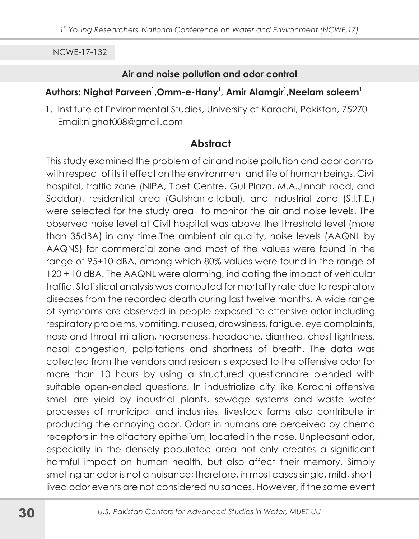#### Air and noise pollution and odor control

## Authors: Nighat Parveen<sup>1</sup>, Omm-e-Hany<sup>1</sup>, Amir Alamgir<sup>1</sup>, Neelam saleem<sup>1</sup>

1. Institute of Environmental Studies, University of Karachi, Pakistan, 75270 Email:nighat008@gmail.com

# **Abstract**

This study examined the problem of air and noise pollution and odor control with respect of its ill effect on the environment and life of human beings. Civil hospital, traffic zone (NIPA, Tibet Centre, Gul Plaza, M.A.Jinnah road, and Saddar), residential area (Gulshan-e-Iqbal), and industrial zone (S.I.T.E.) were selected for the study area to monitor the air and noise levels. The observed noise level at Civil hospital was above the threshold level (more than 35dBA) in any time. The ambient air quality, noise levels (AAQNL by AAQNS) for commercial zone and most of the values were found in the range of 95+10 dBA, among which 80% values were found in the range of 120 + 10 dBA. The AAQNL were alarming, indicating the impact of vehicular traffic. Statistical analysis was computed for mortality rate due to respiratory diseases from the recorded death during last twelve months. A wide range of symptoms are observed in people exposed to offensive odor including respiratory problems, vomiting, nausea, drowsiness, fatigue, eye complaints, nose and throat irritation, hoarseness, headache, diarrhea, chest tightness, nasal congestion, palpitations and shortness of breath. The data was collected from the vendors and residents exposed to the offensive odor for more than 10 hours by using a structured questionnaire blended with suitable open-ended questions. In industrialize city like Karachi offensive smell are yield by industrial plants, sewage systems and waste water processes of municipal and industries, livestock farms also contribute in producing the annoying odor. Odors in humans are perceived by chemo receptors in the olfactory epithelium, located in the nose. Unpleasant odor, especially in the densely populated area not only creates a significant harmful impact on human health, but also affect their memory. Simply smelling an odor is not a nuisance; therefore, in most cases single, mild, shortlived odor events are not considered nuisances. However, if the same event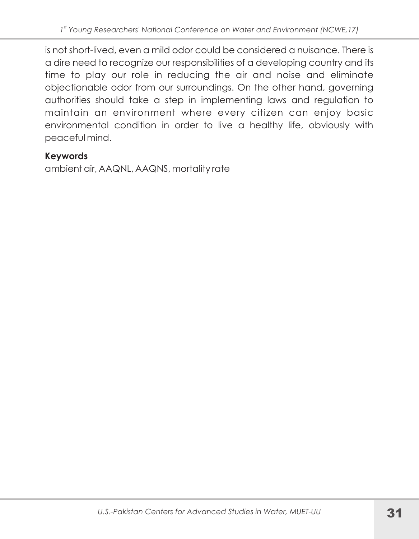is not short-lived, even a mild odor could be considered a nuisance. There is a dire need to recognize our responsibilities of a developing country and its time to play our role in reducing the air and noise and eliminate objectionable odor from our surroundings. On the other hand, governing authorities should take a step in implementing laws and regulation to maintain an environment where every citizen can enjoy basic environmental condition in order to live a healthy life, obviously with peaceful mind.

# **Keywords**

ambient air, AAQNL, AAQNS, mortality rate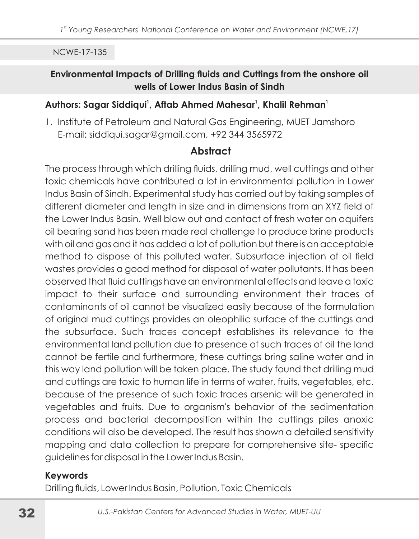#### Environmental Impacts of Drilling fluids and Cuttings from the onshore oil wells of Lower Indus Basin of Sindh

#### Authors: Sagar Siddiqui<sup>1</sup>, Aftab Ahmed Mahesar<sup>1</sup>, Khalil Rehman<sup>1</sup>

1. Institute of Petroleum and Natural Gas Engineering, MUET Jamshoro E-mail: siddiqui.sagar@gmail.com, +92 344 3565972

#### **Abstract**

The process through which drilling fluids, drilling mud, well cuttings and other toxic chemicals have contributed a lot in environmental pollution in Lower Indus Basin of Sindh. Experimental study has carried out by taking samples of different diameter and length in size and in dimensions from an XYZ field of the Lower Indus Basin. Well blow out and contact of fresh water on aquifers oil bearing sand has been made real challenge to produce brine products with oil and gas and it has added a lot of pollution but there is an acceptable method to dispose of this polluted water. Subsurface injection of oil field wastes provides a good method for disposal of water pollutants. It has been observed that fluid cuttings have an environmental effects and leave a toxic impact to their surface and surrounding environment their traces of contaminants of oil cannot be visualized easily because of the formulation of original mud cuttings provides an oleophilic surface of the cuttings and the subsurface. Such traces concept establishes its relevance to the environmental land pollution due to presence of such traces of oil the land cannot be fertile and furthermore, these cuttings bring saline water and in this way land pollution will be taken place. The study found that drilling mud and cuttings are toxic to human life in terms of water, fruits, vegetables, etc. because of the presence of such toxic traces arsenic will be generated in vegetables and fruits. Due to organism's behavior of the sedimentation process and bacterial decomposition within the cuttings piles anoxic conditions will also be developed. The result has shown a detailed sensitivity mapping and data collection to prepare for comprehensive site-specific guidelines for disposal in the Lower Indus Basin.

#### **Keywords**

Drilling fluids, Lower Indus Basin, Pollution, Toxic Chemicals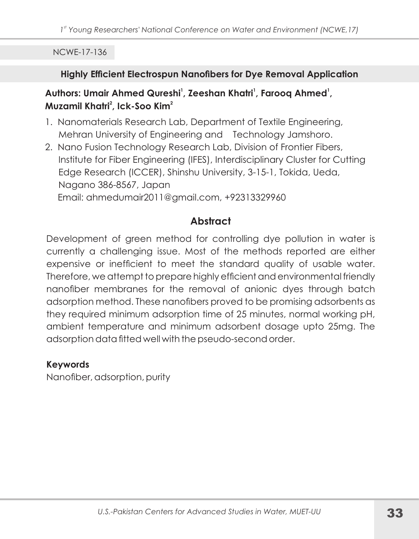#### Highly Efficient Electrospun Nanofibers for Dye Removal Application

### Authors: Umair Ahmed Qureshi<sup>1</sup>, Zeeshan Khatri<sup>1</sup>, Farooq Ahmed<sup>1</sup>, Muzamil Khatri<sup>2</sup>, Ick-Soo Kim<sup>2</sup>

- 1. Nanomaterials Research Lab, Department of Textile Engineering, Mehran University of Engineering and Technology Jamshoro.
- 2. Nano Fusion Technology Research Lab, Division of Frontier Fibers, Institute for Fiber Engineering (IFES), Interdisciplinary Cluster for Cutting Edge Research (ICCER), Shinshu University, 3-15-1, Tokida, Ueda, Nagano 386-8567, Japan Email: ahmedumair2011@gmail.com, +92313329960

# **Abstract**

Development of green method for controlling dye pollution in water is currently a challenging issue. Most of the methods reported are either expensive or inefficient to meet the standard quality of usable water. Therefore, we attempt to prepare highly efficient and environmental friendly nanofiber membranes for the removal of anionic dyes through batch adsorption method. These nanofibers proved to be promising adsorbents as they required minimum adsorption time of 25 minutes, normal working pH, ambient temperature and minimum adsorbent dosage upto 25mg. The adsorption data fitted well with the pseudo-second order.

#### **Keywords**

Nanofiber, adsorption, purity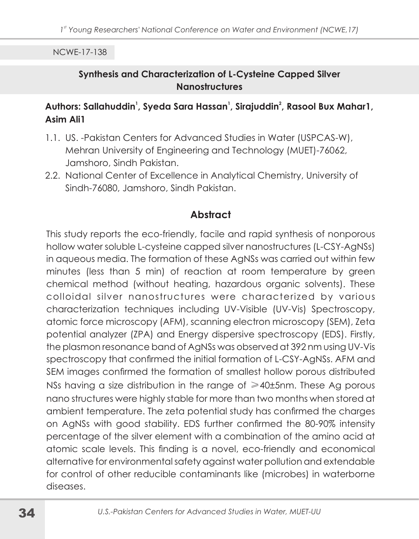#### Synthesis and Characterization of L-Cysteine Capped Silver **Nanostructures**

#### Authors: Sallahuddin<sup>1</sup>, Syeda Sara Hassan<sup>1</sup>, Sirajuddin<sup>2</sup>, Rasool Bux Mahar1, **Asim Ali1**

- 1.1. US. Pakistan Centers for Advanced Studies in Water (USPCAS-W), Mehran University of Engineering and Technology (MUET)-76062, Jamshoro, Sindh Pakistan.
- 2.2. National Center of Excellence in Analytical Chemistry, University of Sindh-76080, Jamshoro, Sindh Pakistan.

## **Abstract**

This study reports the eco-friendly, facile and rapid synthesis of nonporous hollow water soluble L-cysteine capped silver nanostructures (L-CSY-AgNSs) in aqueous media. The formation of these AgNSs was carried out within few minutes (less than 5 min) of reaction at room temperature by green chemical method (without heating, hazardous organic solvents). These colloidal silver nanostructures were characterized by various characterization techniques including UV-Visible (UV-Vis) Spectroscopy, atomic force microscopy (AFM), scanning electron microscopy (SEM), Zeta potential analyzer (ZPA) and Energy dispersive spectroscopy (EDS). Firstly, the plasmon resonance band of AgNSs was observed at 392 nm using UV-Vis spectroscopy that confirmed the initial formation of L-CSY-AgNSs. AFM and SEM images confirmed the formation of smallest hollow porous distributed NSs having a size distribution in the range of  $\geq 40\pm 5$ nm. These Ag porous nano structures were highly stable for more than two months when stored at ambient temperature. The zeta potential study has confirmed the charges on AgNSs with good stability. EDS further confirmed the 80-90% intensity percentage of the silver element with a combination of the amino acid at atomic scale levels. This finding is a novel, eco-friendly and economical alternative for environmental safety against water pollution and extendable for control of other reducible contaminants like (microbes) in waterborne diseases.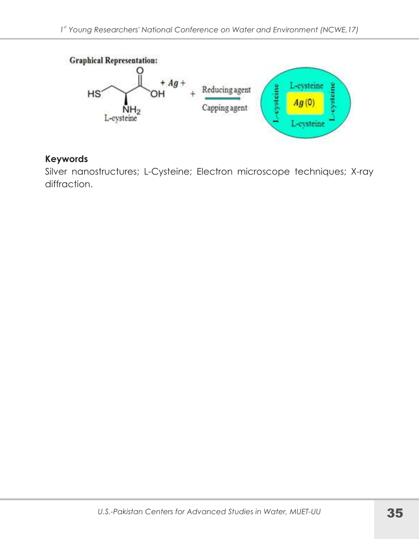

#### **Keywords**

Silver nanostructures; L-Cysteine; Electron microscope techniques; X-ray diffraction.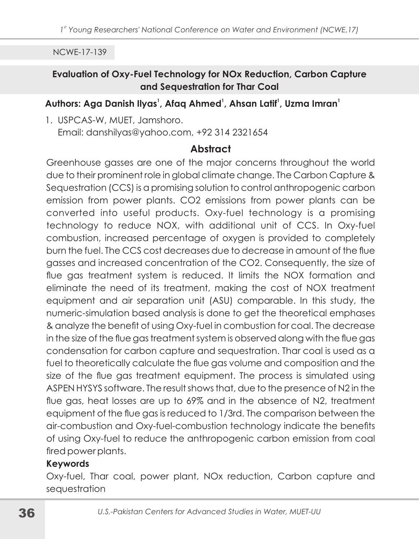### Evaluation of Oxy-Fuel Technology for NOx Reduction, Carbon Capture and Sequestration for Thar Coal

### Authors: Aga Danish Ilyas<sup>1</sup>, Afag Ahmed<sup>1</sup>, Ahsan Latif<sup>1</sup>, Uzma Imran<sup>1</sup>

1. USPCAS-W. MUET. Jamshoro. Email: danshilyas@yahoo.com, +92 314 2321654

# **Abstract**

Greenhouse gasses are one of the major concerns throughout the world due to their prominent role in global climate change. The Carbon Capture & Sequestration (CCS) is a promising solution to control anthropogenic carbon emission from power plants. CO2 emissions from power plants can be converted into useful products. Oxy-fuel technology is a promising technology to reduce NOX, with additional unit of CCS. In Oxy-fuel combustion, increased percentage of oxygen is provided to completely burn the fuel. The CCS cost decreases due to decrease in amount of the flue gasses and increased concentration of the CO2. Consequently, the size of flue gas treatment system is reduced. It limits the NOX formation and eliminate the need of its treatment, making the cost of NOX treatment equipment and air separation unit (ASU) comparable. In this study, the numeric-simulation based analysis is done to get the theoretical emphases & analyze the benefit of using Oxy-fuel in combustion for coal. The decrease in the size of the flue gas treatment system is observed along with the flue gas condensation for carbon capture and sequestration. Thar coal is used as a fuel to theoretically calculate the flue gas volume and composition and the size of the flue gas treatment equipment. The process is simulated using ASPEN HYSYS software. The result shows that, due to the presence of N2 in the flue gas, heat losses are up to 69% and in the absence of N2, treatment equipment of the flue gas is reduced to 1/3rd. The comparison between the air-combustion and Oxy-fuel-combustion technology indicate the benefits of using Oxy-fuel to reduce the anthropogenic carbon emission from coal fired power plants.

### **Keywords**

Oxy-fuel, Thar coal, power plant, NOx reduction, Carbon capture and sequestration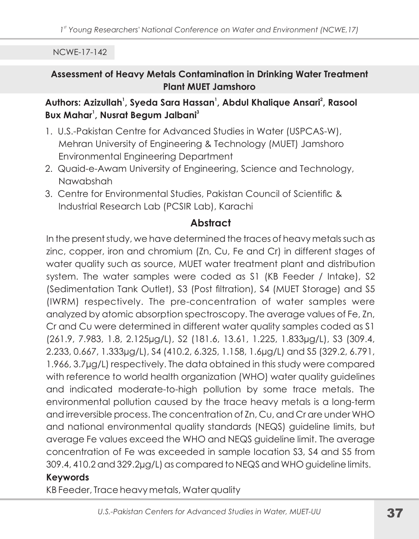## Assessment of Heavy Metals Contamination in Drinking Water Treatment **Plant MUET Jamshoro**

# Authors: Azizullah<sup>1</sup>, Syeda Sara Hassan<sup>1</sup>, Abdul Khalique Ansari<sup>2</sup>, Rasool Bux Mahar<sup>1</sup>, Nusrat Begum Jalbani<sup>3</sup>

- 1. U.S.-Pakistan Centre for Advanced Studies in Water (USPCAS-W), Mehran University of Engineering & Technology (MUET) Jamshoro **Environmental Engineering Department**
- 2. Quaid-e-Awam University of Engineering, Science and Technology, Nawabshah
- 3. Centre for Environmental Studies, Pakistan Council of Scientific & Industrial Research Lab (PCSIR Lab), Karachi

# **Abstract**

In the present study, we have determined the traces of heavy metals such as zinc, copper, iron and chromium (Zn, Cu, Fe and Cr) in different stages of water quality such as source, MUET water treatment plant and distribution system. The water samples were coded as \$1 (KB Feeder / Intake), \$2 (Sedimentation Tank Outlet), S3 (Post filtration), S4 (MUET Storage) and S5 (IWRM) respectively. The pre-concentration of water samples were analyzed by atomic absorption spectroscopy. The average values of Fe, Zn, Cr and Cu were determined in different water quality samples coded as \$1  $(261.9, 7.983, 1.8, 2.125 \mu g/L)$ , S2  $(181.6, 13.61, 1.225, 1.833 \mu g/L)$ , S3  $(309.4, 1.83 \mu g/L)$ 2.233, 0.667, 1.333µg/L), S4 (410.2, 6.325, 1.158, 1.6µg/L) and S5 (329.2, 6.791, 1.966, 3.7µg/L) respectively. The data obtained in this study were compared with reference to world health organization (WHO) water quality guidelines and indicated moderate-to-high pollution by some trace metals. The environmental pollution caused by the trace heavy metals is a long-term and irreversible process. The concentration of Zn, Cu, and Cr are under WHO and national environmental quality standards (NEQS) guideline limits, but average Fe values exceed the WHO and NEQS guideline limit. The average concentration of Fe was exceeded in sample location S3, S4 and S5 from 309.4, 410.2 and 329.2µg/L) as compared to NEQS and WHO guideline limits. **Keywords** 

KB Feeder, Trace heavy metals, Water quality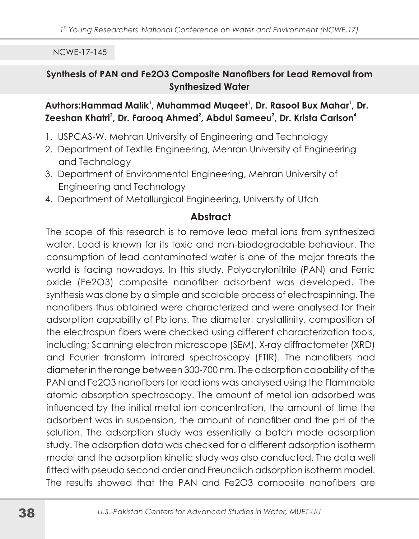### Synthesis of PAN and Fe2O3 Composite Nanofibers for Lead Removal from **Synthesized Water**

### Authors:Hammad Malik<sup>1</sup>, Muhammad Mugeet<sup>1</sup>, Dr. Rasool Bux Mahar<sup>1</sup>, Dr. Zeeshan Khatri<sup>2</sup>, Dr. Faroog Ahmed<sup>2</sup>, Abdul Sameeu<sup>3</sup>, Dr. Krista Carlson<sup>4</sup>

- 1. USPCAS-W, Mehran University of Engineering and Technology
- 2. Department of Textile Engineering, Mehran University of Engineering and Technology
- 3. Department of Environmental Engineering, Mehran University of Engineering and Technology
- 4. Department of Metallurgical Engineering, University of Utah

# **Abstract**

The scope of this research is to remove lead metal ions from synthesized water. Lead is known for its toxic and non-biodegradable behaviour. The consumption of lead contaminated water is one of the major threats the world is facing nowadays. In this study, Polyacrylonitrile (PAN) and Ferric oxide (Fe2O3) composite nanofiber adsorbent was developed. The synthesis was done by a simple and scalable process of electrospinning. The nanofibers thus obtained were characterized and were analysed for their adsorption capability of Pb ions. The diameter, crystallinity, composition of the electrospun fibers were checked using different characterization tools, including; Scanning electron microscope (SEM), X-ray diffractometer (XRD) and Fourier transform infrared spectroscopy (FTIR). The nanofibers had diameter in the range between 300-700 nm. The adsorption capability of the PAN and Fe2O3 nanofibers for lead ions was analysed using the Flammable atomic absorption spectroscopy. The amount of metal ion adsorbed was influenced by the initial metal ion concentration, the amount of time the adsorbent was in suspension, the amount of nanofiber and the pH of the solution. The adsorption study was essentially a batch mode adsorption study. The adsorption data was checked for a different adsorption isotherm model and the adsorption kinetic study was also conducted. The data well fitted with pseudo second order and Freundlich adsorption isotherm model. The results showed that the PAN and Fe2O3 composite nanofibers are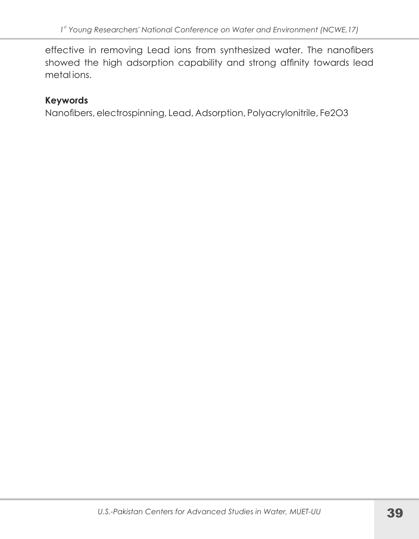effective in removing Lead ions from synthesized water. The nanofibers showed the high adsorption capability and strong affinity towards lead metalions.

### **Keywords**

Nanofibers, electrospinning, Lead, Adsorption, Polyacrylonitrile, Fe2O3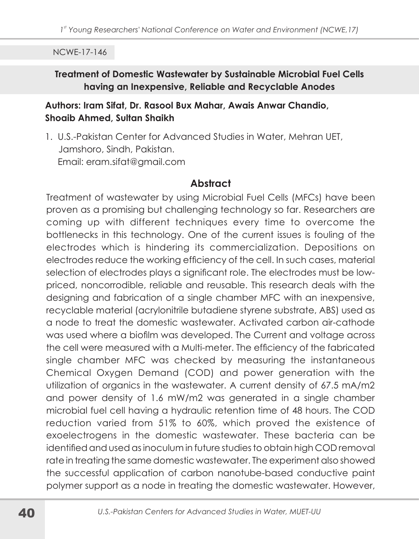### Treatment of Domestic Wastewater by Sustainable Microbial Fuel Cells having an Inexpensive, Reliable and Recyclable Anodes

### Authors: Iram Sifat, Dr. Rasool Bux Mahar, Awais Anwar Chandio, Shoaib Ahmed, Sultan Shaikh

1. U.S.-Pakistan Center for Advanced Studies in Water, Mehran UFT. Jamshoro, Sindh, Pakistan. Email: eram.sifat@gmail.com

# Abstract

Treatment of wastewater by using Microbial Fuel Cells (MFCs) have been proven as a promising but challenging technology so far. Researchers are coming up with different techniques every time to overcome the bottlenecks in this technology. One of the current issues is fouling of the electrodes which is hindering its commercialization. Depositions on electrodes reduce the working efficiency of the cell. In such cases, material selection of electrodes plays a significant role. The electrodes must be lowpriced, noncorrodible, religble and reusable. This research deals with the designing and fabrication of a single chamber MFC with an inexpensive, recyclable material (acrylonitrile butadiene styrene substrate, ABS) used as a node to treat the domestic wastewater. Activated carbon air-cathode was used where a biofilm was developed. The Current and voltage across the cell were measured with a Multi-meter. The efficiency of the fabricated single chamber MFC was checked by measuring the instantaneous Chemical Oxygen Demand (COD) and power generation with the utilization of organics in the wastewater. A current density of 67.5 mA/m2 and power density of 1.6 mW/m2 was generated in a single chamber microbial fuel cell having a hydraulic retention time of 48 hours. The COD reduction varied from 51% to 60%, which proved the existence of exoelectrogens in the domestic wastewater. These bacteria can be identified and used as inoculum in future studies to obtain high COD removal rate in treating the same domestic wastewater. The experiment also showed the successful application of carbon nanotube-based conductive paint polymer support as a node in treating the domestic wastewater. However,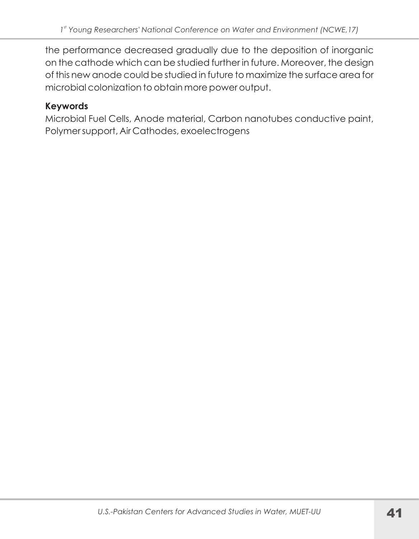the performance decreased gradually due to the deposition of inorganic on the cathode which can be studied further in future. Moreover, the design of this new anode could be studied in future to maximize the surface area for microbial colonization to obtain more power output.

# **Keywords**

Microbial Fuel Cells, Anode material, Carbon nanotubes conductive paint, Polymer support, Air Cathodes, exoelectrogens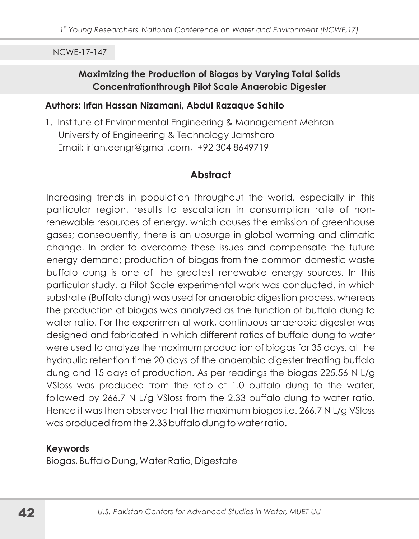### Maximizing the Production of Biogas by Varying Total Solids **Concentrationthrough Pilot Scale Anaerobic Digester**

#### Authors: Irfan Hassan Nizamani, Abdul Razaque Sahito

1. Institute of Environmental Engineering & Management Mehran University of Engineering & Technology Jamshoro Email: irfan.eengr@gmail.com, +92 304 8649719

### **Abstract**

Increasing trends in population throughout the world, especially in this particular region, results to escalation in consumption rate of nonrenewable resources of energy, which causes the emission of greenhouse gases; consequently, there is an upsurge in global warming and climatic change. In order to overcome these issues and compensate the future energy demand; production of biogas from the common domestic waste buffalo dung is one of the greatest renewable energy sources. In this particular study, a Pilot Scale experimental work was conducted, in which substrate (Buffalo dung) was used for anaerobic digestion process, whereas the production of biogas was analyzed as the function of buffalo dung to water ratio. For the experimental work, continuous anaerobic digester was designed and fabricated in which different ratios of buffalo dung to water were used to analyze the maximum production of biogas for 35 days, at the hydraulic retention time 20 days of the anaerobic digester treating buffalo dung and 15 days of production. As per readings the biogas 225.56 N L/g VSloss was produced from the ratio of 1.0 buffalo dung to the water, followed by 266.7 N L/g VSloss from the 2.33 buffalo dung to water ratio. Hence it was then observed that the maximum biogas i.e. 266.7 N L/g VSloss was produced from the 2.33 buffalo dung to water ratio.

#### **Keywords**

Biogas, Buffalo Dung, Water Ratio, Digestate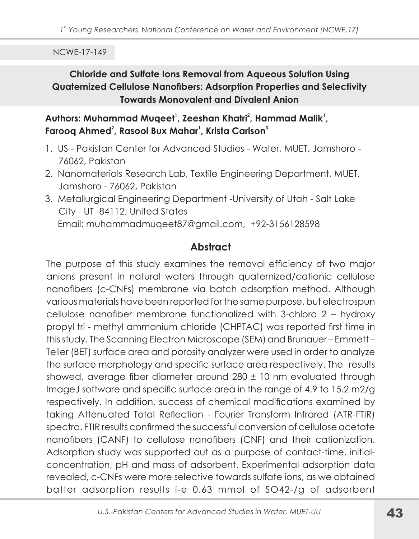# **Chloride and Sulfate Ions Removal from Aqueous Solution Using** Quaternized Cellulose Nanofibers: Adsorption Properties and Selectivity **Towards Monovalent and Divalent Anion**

Authors: Muhammad Muqeet<sup>1</sup>, Zeeshan Khatri<sup>2</sup>, Hammad Malik<sup>1</sup>, Farooq Ahmed<sup>2</sup>, Rasool Bux Mahar<sup>1</sup>, Krista Carlson<sup>3</sup>

- 1. US Pakistan Center for Advanced Studies Water, MUET, Jamshoro -76062, Pakistan
- 2. Nanomaterials Research Lab, Textile Engineering Department, MUET, Jamshoro - 76062, Pakistan
- 3. Metallurgical Engineering Department University of Utah Salt Lake City - UT -84112, United States Email: muhammadmugeet87@gmail.com, +92-3156128598

# **Abstract**

The purpose of this study examines the removal efficiency of two major anions present in natural waters through quaternized/cationic cellulose nanofibers (c-CNFs) membrane via batch adsorption method. Although various materials have been reported for the same purpose, but electrospun cellulose nanofiber membrane functionalized with 3-chloro 2 - hydroxy propyl tri - methyl ammonium chloride (CHPTAC) was reported first time in this study. The Scanning Electron Microscope (SEM) and Brunauer-Emmett-Teller (BET) surface area and porosity analyzer were used in order to analyze the surface morphology and specific surface area respectively. The results showed, average fiber diameter around 280 ± 10 nm evaluated through ImageJ software and specific surface area in the range of 4.9 to 15.2 m2/g respectively. In addition, success of chemical modifications examined by taking Attenuated Total Reflection - Fourier Transform Infrared (ATR-FTIR) spectra. FTIR results confirmed the successful conversion of cellulose acetate nanofibers (CANF) to cellulose nanofibers (CNF) and their cationization. Adsorption study was supported out as a purpose of contact-time, initialconcentration, pH and mass of adsorbent. Experimental adsorption data revealed, c-CNFs were more selective towards sulfate ions, as we obtained batter adsorption results i-e 0.63 mmol of SO42-/g of adsorbent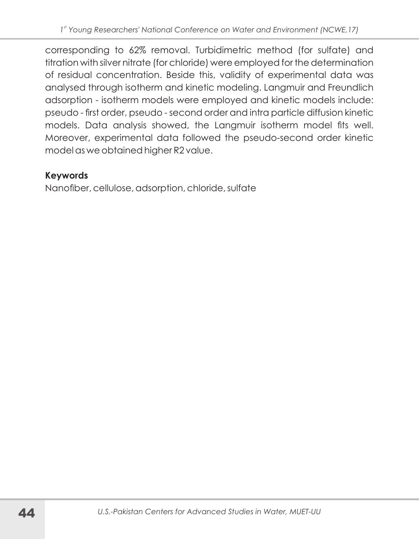corresponding to 62% removal. Turbidimetric method (for sulfate) and titration with silver nitrate (for chloride) were employed for the determination of residual concentration. Beside this, validity of experimental data was analysed through isotherm and kinetic modeling. Langmuir and Freundlich adsorption - isotherm models were employed and kinetic models include: pseudo - first order, pseudo - second order and intra particle diffusion kinetic models. Data analysis showed, the Langmuir isotherm model fits well. Moreover, experimental data followed the pseudo-second order kinetic model as we obtained higher R2 value.

# **Keywords**

Nanofiber, cellulose, adsorption, chloride, sulfate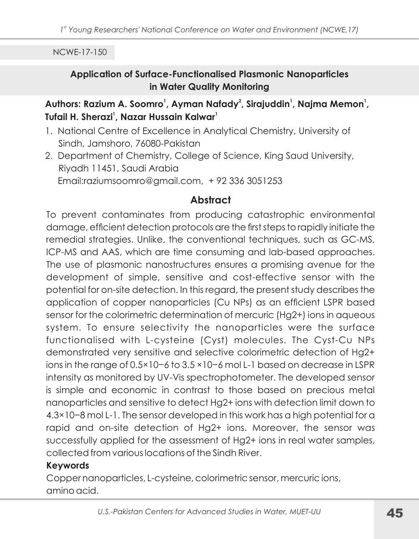## **Application of Surface-Functionalised Plasmonic Nanoparticles** in Water Quality Monitoring

## Authors: Razium A. Soomro<sup>1</sup>, Ayman Nafady<sup>2</sup>, Sirajuddin<sup>1</sup>, Najma Memon<sup>1</sup>, Tufail H. Sherazi<sup>1</sup>, Nazar Hussain Kalwar<sup>1</sup>

- 1. National Centre of Excellence in Analytical Chemistry, University of Sindh, Jamshoro, 76080-Pakistan
- 2. Department of Chemistry, College of Science, King Saud University, Riyadh 11451, Saudi Arabia Email:raziumsoomro@gmail.com, +92 336 3051253

# **Abstract**

To prevent contaminates from producing catastrophic environmental damage, efficient detection protocols are the first steps to rapidly initiate the remedial strategies. Unlike, the conventional techniques, such as GC-MS, ICP-MS and AAS, which are time consuming and lab-based approaches. The use of plasmonic nanostructures ensures a promising avenue for the development of simple, sensitive and cost-effective sensor with the potential for on-site detection. In this regard, the present study describes the application of copper nanoparticles (Cu NPs) as an efficient LSPR based sensor for the colorimetric determination of mercuric (Hg2+) ions in aqueous system. To ensure selectivity the nanoparticles were the surface functionalised with L-cysteine (Cyst) molecules. The Cyst-Cu NPs demonstrated very sensitive and selective colorimetric detection of Hg2+ ions in the range of  $0.5 \times 10^{-6}$  to  $3.5 \times 10^{-6}$  mol L-1 based on decrease in LSPR intensity as monitored by UV-Vis spectrophotometer. The developed sensor is simple and economic in contrast to those based on precious metal nanoparticles and sensitive to detect Hg2+ ions with detection limit down to 4.3×10-8 mol L-1. The sensor developed in this work has a high potential for a rapid and on-site detection of Hg2+ ions. Moreover, the sensor was successfully applied for the assessment of Hg2+ ions in real water samples, collected from various locations of the Sindh River.

### **Kevwords**

Copper nanoparticles, L-cysteine, colorimetric sensor, mercuric ions, amino acid.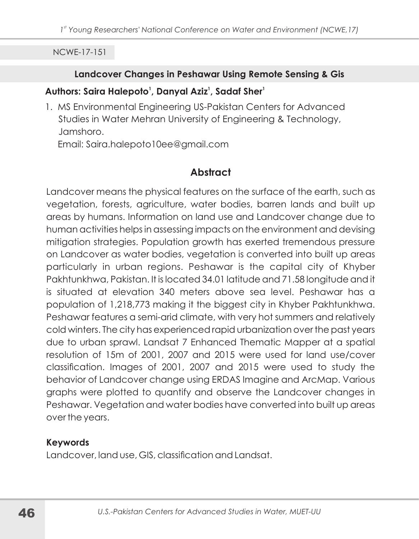#### Landcover Changes in Peshawar Using Remote Sensing & Gis

#### Authors: Saira Halepoto<sup>1</sup>, Danyal Aziz<sup>1</sup>, Sadaf Sher<sup>1</sup>

1. MS Environmental Engineering US-Pakistan Centers for Advanced Studies in Water Mehran University of Engineering & Technology, Jamshoro.

Email: Saira.halepoto10ee@gmail.com

# **Abstract**

Landcover means the physical features on the surface of the earth, such as vegetation, forests, agriculture, water bodies, barren lands and built up areas by humans. Information on land use and Landcover change due to human activities helps in assessing impacts on the environment and devising mitigation strategies. Population growth has exerted tremendous pressure on Landcover as water bodies, vegetation is converted into built up areas particularly in urban regions. Peshawar is the capital city of Khyber Pakhtunkhwa, Pakistan, It is located 34.01 latitude and 71.58 longitude and it is situated at elevation 340 meters above sea level. Peshawar has a population of 1,218,773 making it the biggest city in Khyber Pakhtunkhwa. Peshawar features a semi-arid climate, with very hot summers and relatively cold winters. The city has experienced rapid urbanization over the past years due to urban sprawl. Landsat 7 Enhanced Thematic Mapper at a spatial resolution of 15m of 2001, 2007 and 2015 were used for land use/cover classification. Images of 2001, 2007 and 2015 were used to study the behavior of Landcover change using ERDAS Imagine and ArcMap. Various graphs were plotted to quantify and observe the Landcover changes in Peshawar. Vegetation and water bodies have converted into built up areas over the years.

### **Keywords**

Landcover, land use, GIS, classification and Landsat.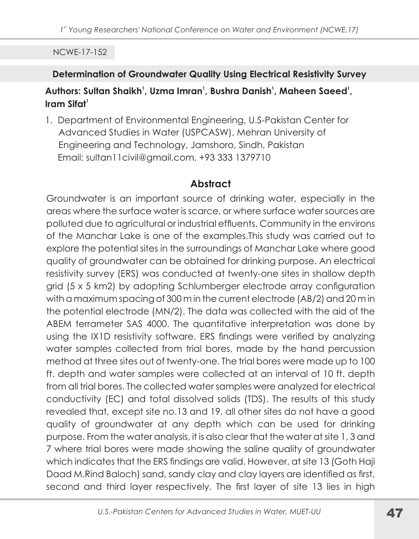### **Determination of Groundwater Quality Using Electrical Resistivity Survey**

# Authors: Sultan Shaikh<sup>1</sup>, Uzma Imran<sup>1</sup>, Bushra Danish<sup>1</sup>, Maheen Saeed<sup>1</sup>, Iram Sifat<sup>1</sup>

1. Department of Environmental Engineering, U.S-Pakistan Center for Advanced Studies in Water (USPCASW), Mehran University of Engineering and Technology, Jamshoro, Sindh, Pakistan Email: sultan11civil@gmail.com, +93 333 1379710

# Abstract

Groundwater is an important source of drinking water, especially in the areas where the surface water is scarce, or where surface water sources are polluted due to agricultural or industrial effluents. Community in the environs of the Manchar Lake is one of the examples. This study was carried out to explore the potential sites in the surroundings of Manchar Lake where good quality of groundwater can be obtained for drinking purpose. An electrical resistivity survey (ERS) was conducted at twenty-one sites in shallow depth grid (5 x 5 km2) by adopting Schlumberger electrode array configuration with a maximum spacing of 300 m in the current electrode (AB/2) and 20 m in the potential electrode (MN/2). The data was collected with the aid of the ABEM terrameter SAS 4000. The quantitative interpretation was done by using the IX1D resistivity software. ERS findings were verified by analyzing water samples collected from trial bores, made by the hand percussion method at three sites out of twenty-one. The trial bores were made up to 100 ft. depth and water samples were collected at an interval of 10 ft. depth from all trial bores. The collected water samples were analyzed for electrical conductivity (EC) and total dissolved solids (TDS). The results of this study revealed that, except site no.13 and 19, all other sites do not have a good quality of groundwater at any depth which can be used for drinking purpose. From the water analysis, it is also clear that the water at site 1, 3 and 7 where trial bores were made showing the saline quality of groundwater which indicates that the ERS findings are valid. However, at site 13 (Goth Haji Daad M.Rind Baloch) sand, sandy clay and clay layers are identified as first, second and third layer respectively. The first layer of site 13 lies in high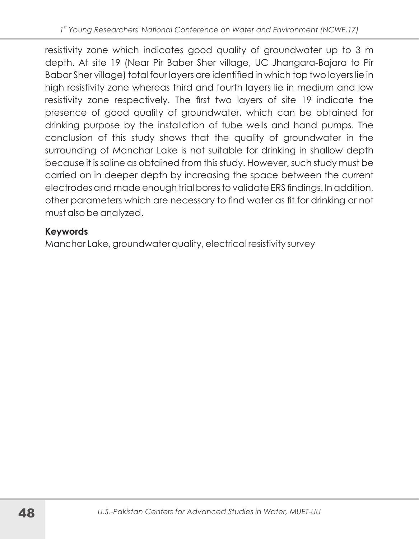resistivity zone which indicates good quality of groundwater up to 3 m depth. At site 19 (Near Pir Baber Sher village, UC Jhangara-Bajara to Pir Babar Sher village) total four layers are identified in which top two layers lie in high resistivity zone whereas third and fourth layers lie in medium and low resistivity zone respectively. The first two layers of site 19 indicate the presence of good quality of groundwater, which can be obtained for drinking purpose by the installation of tube wells and hand pumps. The conclusion of this study shows that the quality of groundwater in the surrounding of Manchar Lake is not suitable for drinking in shallow depth because it is saline as obtained from this study. However, such study must be carried on in deeper depth by increasing the space between the current electrodes and made enough trial bores to validate ERS findings. In addition, other parameters which are necessary to find water as fit for drinking or not must also be analyzed.

# **Keywords**

Manchar Lake, groundwater quality, electrical resistivity survey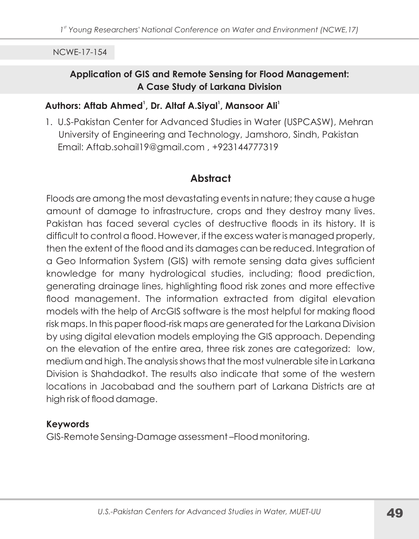### **Application of GIS and Remote Sensing for Flood Management:** A Case Study of Larkana Division

# Authors: Aftab Ahmed<sup>1</sup>, Dr. Altaf A.Siyal<sup>1</sup>, Mansoor Ali<sup>1</sup>

1. U.S-Pakistan Center for Advanced Studies in Water (USPCASW), Mehran University of Engineering and Technology, Jamshoro, Sindh, Pakistan Email: Aftab.sohail19@gmail.com, +923144777319

# **Abstract**

Floods are among the most devastating events in nature; they cause a huge amount of damage to infrastructure, crops and they destroy many lives. Pakistan has faced several cycles of destructive floods in its history. It is difficult to control a flood. However, if the excess water is managed properly, then the extent of the flood and its damages can be reduced. Integration of a Geo Information System (GIS) with remote sensing data gives sufficient knowledge for many hydrological studies, including; flood prediction, generating drainage lines, highlighting flood risk zones and more effective flood management. The information extracted from digital elevation models with the help of ArcGIS software is the most helpful for making flood risk maps. In this paper flood-risk maps are generated for the Larkana Division by using digital elevation models employing the GIS approach. Depending on the elevation of the entire area, three risk zones are categorized: low, medium and high. The analysis shows that the most vulnerable site in Larkana Division is Shahdadkot. The results also indicate that some of the western locations in Jacobabad and the southern part of Larkana Districts are at high risk of flood damage.

### **Keywords**

GIS-Remote Sensing-Damage assessment-Flood monitoring.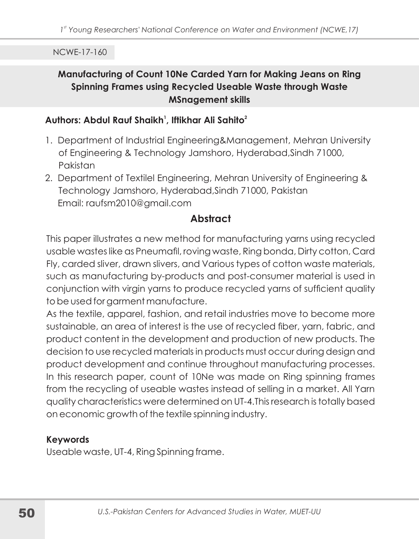# Manufacturing of Count 10Ne Carded Yarn for Making Jeans on Ring Spinning Frames using Recycled Useable Waste through Waste **MSnagement skills**

#### Authors: Abdul Rauf Shaikh<sup>1</sup>, Iftikhar Ali Sahito<sup>2</sup>

- 1. Department of Industrial Engineering&Management, Mehran University of Engineering & Technology Jamshoro, Hyderabad, Sindh 71000, Pakistan
- 2. Department of Textilel Engineering, Mehran University of Engineering & Technology Jamshoro, Hyderabad, Sindh 71000, Pakistan Email: raufsm2010@gmail.com

# Abstract

This paper illustrates a new method for manufacturing yarns using recycled usable wastes like as Pneumafil, roving waste, Ring bonda, Dirty cotton, Card Fly, carded sliver, drawn slivers, and Various types of cotton waste materials, such as manufacturing by-products and post-consumer material is used in conjunction with virgin yarns to produce recycled yarns of sufficient quality to be used for garment manufacture.

As the textile, apparel, fashion, and retail industries move to become more sustainable, an area of interest is the use of recycled fiber, yarn, fabric, and product content in the development and production of new products. The decision to use recycled materials in products must occur during design and product development and continue throughout manufacturing processes. In this research paper, count of 10Ne was made on Ring spinning frames from the recycling of useable wastes instead of selling in a market. All Yarn quality characteristics were determined on UT-4. This research is totally based on economic growth of the textile spinning industry.

### **Keywords**

Useable waste, UT-4, Ring Spinning frame.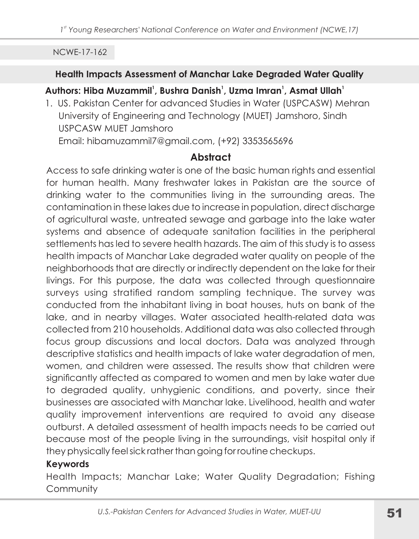#### Health Impacts Assessment of Manchar Lake Degraded Water Quality

# Authors: Hiba Muzammil<sup>1</sup>, Bushra Danish<sup>1</sup>, Uzma Imran<sup>1</sup>, Asmat Ullah<sup>1</sup>

1. US. Pakistan Center for advanced Studies in Water (USPCASW) Mehran University of Engineering and Technology (MUET) Jamshoro, Sindh USPCASW MUET Jamshoro Email: hibamuzammil7@gmail.com, (+92) 3353565696

# **Abstract**

Access to safe drinking water is one of the basic human rights and essential for human health. Many freshwater lakes in Pakistan are the source of drinking water to the communities living in the surrounding areas. The contamination in these lakes due to increase in population, direct discharge of agricultural waste, untreated sewage and garbage into the lake water systems and absence of adequate sanitation facilities in the peripheral settlements has led to severe health hazards. The aim of this study is to assess health impacts of Manchar Lake degraded water quality on people of the neighborhoods that are directly or indirectly dependent on the lake for their livings. For this purpose, the data was collected through questionnaire surveys using stratified random sampling technique. The survey was conducted from the inhabitant living in boat houses, huts on bank of the lake, and in nearby villages. Water associated health-related data was collected from 210 households. Additional data was also collected through focus group discussions and local doctors. Data was analyzed through descriptive statistics and health impacts of lake water degradation of men, women, and children were assessed. The results show that children were significantly affected as compared to women and men by lake water due to degraded quality, unhygienic conditions, and poverty, since their businesses are associated with Manchar lake. Livelihood, health and water quality improvement interventions are required to avoid any disease outburst. A detailed assessment of health impacts needs to be carried out because most of the people living in the surroundings, visit hospital only if they physically feel sick rather than going for routine checkups.

# **Keywords**

Health Impacts; Manchar Lake; Water Quality Degradation; Fishing Community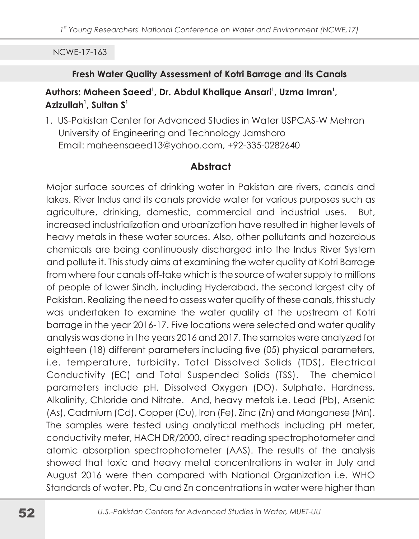#### Fresh Water Quality Assessment of Kotri Barrage and its Canals

# Authors: Maheen Saeed<sup>1</sup>, Dr. Abdul Khalique Ansari<sup>1</sup>, Uzma Imran<sup>1</sup>, Azizullah<sup>1</sup>, Sultan S<sup>1</sup>

1. US-Pakistan Center for Advanced Studies in Water USPCAS-W Mehran University of Engineering and Technology Jamshoro Email: maheensaeed13@yahoo.com, +92-335-0282640

# **Abstract**

Major surface sources of drinking water in Pakistan are rivers, canals and lakes. River Indus and its canals provide water for various purposes such as agriculture, drinking, domestic, commercial and industrial uses. But, increased industrialization and urbanization have resulted in higher levels of heavy metals in these water sources. Also, other pollutants and hazardous chemicals are being continuously discharged into the Indus River System and pollute it. This study aims at examining the water quality at Kotri Barrage from where four canals off-take which is the source of water supply to millions of people of lower Sindh, including Hyderabad, the second largest city of Pakistan. Realizing the need to assess water quality of these canals, this study was undertaken to examine the water quality at the upstream of Kotri barrage in the year 2016-17. Five locations were selected and water quality analysis was done in the years 2016 and 2017. The samples were analyzed for eighteen (18) different parameters including five (05) physical parameters, i.e. temperature, turbidity, Total Dissolved Solids (TDS), Electrical Conductivity (EC) and Total Suspended Solids (TSS). The chemical parameters include pH, Dissolved Oxygen (DO), Sulphate, Hardness, Alkalinity, Chloride and Nitrate. And, heavy metals i.e. Lead (Pb), Arsenic (As), Cadmium (Cd), Copper (Cu), Iron (Fe), Zinc (Zn) and Manganese (Mn). The samples were tested using analytical methods including pH meter, conductivity meter, HACH DR/2000, direct reading spectrophotometer and atomic absorption spectrophotometer (AAS). The results of the analysis showed that toxic and heavy metal concentrations in water in July and August 2016 were then compared with National Organization i.e. WHO Standards of water. Pb, Cu and Zn concentrations in water were higher than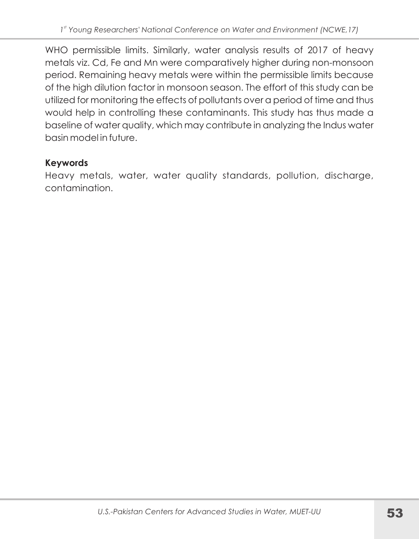WHO permissible limits. Similarly, water analysis results of 2017 of heavy metals viz. Cd, Fe and Mn were comparatively higher during non-monsoon period. Remaining heavy metals were within the permissible limits because of the high dilution factor in monsoon season. The effort of this study can be utilized for monitoring the effects of pollutants over a period of time and thus would help in controlling these contaminants. This study has thus made a baseline of water quality, which may contribute in analyzing the Indus water basin model in future.

# **Keywords**

Heavy metals, water, water quality standards, pollution, discharge, contamination.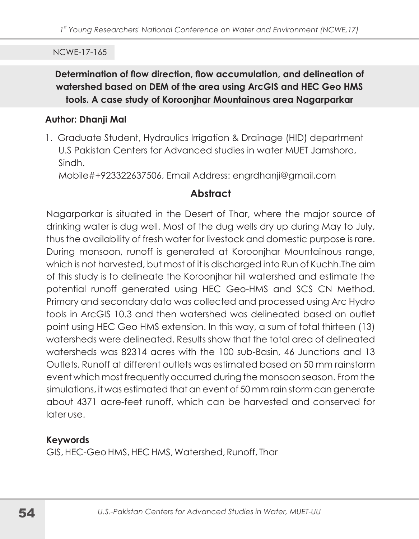Determination of flow direction, flow accumulation, and delineation of watershed based on DEM of the area using ArcGIS and HEC Geo HMS tools. A case study of Koroonjhar Mountainous area Nagarparkar

#### **Author: Dhanji Mal**

1. Graduate Student, Hydraulics Irrigation & Drainage (HID) department U.S Pakistan Centers for Advanced studies in water MUET Jamshoro. Sindh

Mobile#+923322637506, Email Address: engrdhanji@gmail.com

# **Abstract**

Nagarparkar is situated in the Desert of Thar, where the major source of drinking water is dug well. Most of the dug wells dry up during May to July, thus the availability of fresh water for livestock and domestic purpose is rare. During monsoon, runoff is generated at Koroonjhar Mountainous range, which is not harvested, but most of it is discharged into Run of Kuchh. The aim of this study is to delineate the Koroonihar hill watershed and estimate the potential runoff generated using HEC Geo-HMS and SCS CN Method. Primary and secondary data was collected and processed using Arc Hydro tools in ArcGIS 10.3 and then watershed was delineated based on outlet point using HEC Geo HMS extension. In this way, a sum of total thirteen (13) watersheds were delineated. Results show that the total area of delineated watersheds was 82314 acres with the 100 sub-Basin, 46 Junctions and 13 Outlets, Runoff at different outlets was estimated based on 50 mm rainstorm event which most frequently occurred during the monsoon season. From the simulations, it was estimated that an event of 50 mm rain storm can generate about 4371 acre-feet runoff, which can be harvested and conserved for *<u>Interuse</u>* 

# **Keywords**

GIS, HEC-Geo HMS, HEC HMS, Watershed, Runoff, Thar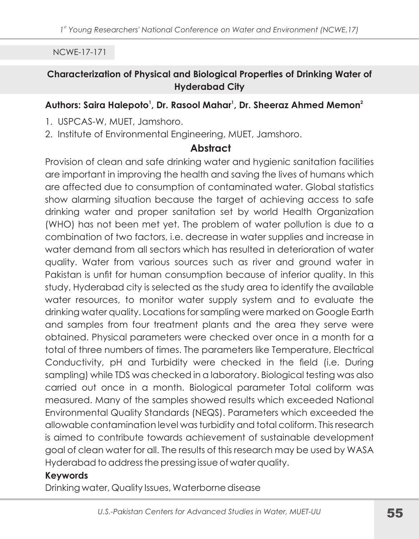### Characterization of Physical and Biological Properties of Drinking Water of **Hyderabad City**

### Authors: Saira Halepoto<sup>1</sup>, Dr. Rasool Mahar<sup>1</sup>, Dr. Sheeraz Ahmed Memon<sup>2</sup>

- 1. USPCAS-W. MUET. Jamshoro.
- 2. Institute of Environmental Engineering, MUET, Jamshoro.

# **Abstract**

Provision of clean and safe drinking water and hygienic sanitation facilities are important in improving the health and saving the lives of humans which are affected due to consumption of contaminated water. Global statistics show alarming situation because the target of achieving access to safe drinking water and proper sanitation set by world Health Organization (WHO) has not been met yet. The problem of water pollution is due to a combination of two factors, i.e. decrease in water supplies and increase in water demand from all sectors which has resulted in deterioration of water quality. Water from various sources such as river and ground water in Pakistan is unfit for human consumption because of inferior quality. In this study, Hyderabad city is selected as the study area to identify the available water resources, to monitor water supply system and to evaluate the drinking water quality. Locations for sampling were marked on Google Earth and samples from four treatment plants and the area they serve were obtained. Physical parameters were checked over once in a month for a total of three numbers of times. The parameters like Temperature, Electrical Conductivity, pH and Turbidity were checked in the field (i.e. During sampling) while TDS was checked in a laboratory. Biological testing was also carried out once in a month. Biological parameter Total coliform was measured. Many of the samples showed results which exceeded National Environmental Quality Standards (NEQS). Parameters which exceeded the allowable contamination level was turbidity and total coliform. This research is aimed to contribute towards achievement of sustainable development goal of clean water for all. The results of this research may be used by WASA Hyderabad to address the pressing issue of water quality.

### **Keywords**

Drinking water, Quality Issues, Waterborne disease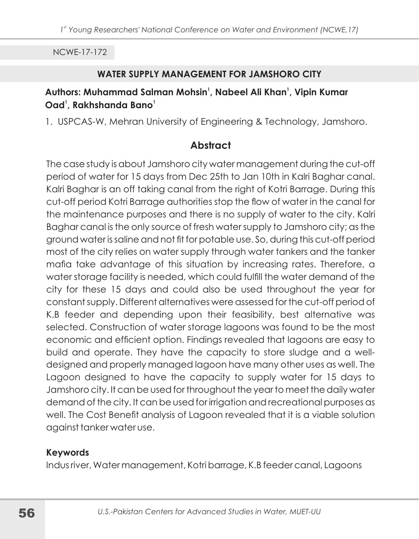#### **WATER SUPPLY MANAGEMENT FOR JAMSHORO CITY**

## Authors: Muhammad Salman Mohsin<sup>1</sup>, Nabeel Ali Khan<sup>1</sup>, Vipin Kumar Oad<sup>1</sup>, Rakhshanda Bano<sup>1</sup>

1. USPCAS-W, Mehran University of Engineering & Technology, Jamshoro.

# **Abstract**

The case study is about Jamshoro city water management during the cut-off period of water for 15 days from Dec 25th to Jan 10th in Kalri Baghar canal. Kalri Baghar is an off taking canal from the right of Kotri Barrage. During this cut-off period Kotri Barrage authorities stop the flow of water in the canal for the maintenance purposes and there is no supply of water to the city. Kalri Baghar canal is the only source of fresh water supply to Jamshoro city; as the ground water is saline and not fit for potable use. So, during this cut-off period most of the city relies on water supply through water tankers and the tanker mafia take advantage of this situation by increasing rates. Therefore, a water storage facility is needed, which could fulfill the water demand of the city for these 15 days and could also be used throughout the year for constant supply. Different alternatives were assessed for the cut-off period of K.B feeder and depending upon their feasibility, best alternative was selected. Construction of water storage lagoons was found to be the most economic and efficient option. Findings revealed that lagoons are easy to build and operate. They have the capacity to store sludge and a welldesigned and properly managed lagoon have many other uses as well. The Lagoon designed to have the capacity to supply water for 15 days to Jamshoro city. It can be used for throughout the year to meet the daily water demand of the city. It can be used for irrigation and recreational purposes as well. The Cost Benefit analysis of Lagoon revealed that it is a viable solution against tanker water use.

### **Keywords**

Indus river, Water management, Kotribarrage, K.B feeder canal, Lagoons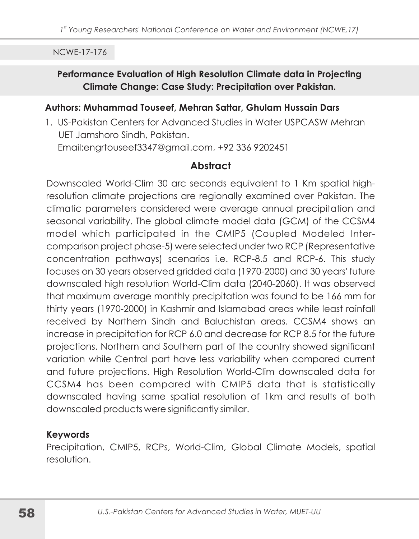### Performance Evaluation of High Resolution Climate data in Projecting Climate Change: Case Study: Precipitation over Pakistan.

#### Authors: Muhammad Touseef, Mehran Sattar, Ghulam Hussain Dars

1. US-Pakistan Centers for Advanced Studies in Water USPCASW Mehran UET Jamshoro Sindh, Pakistan. Email:engrtouseef3347@gmail.com, +92 336 9202451

# **Abstract**

Downscaled World-Clim 30 arc seconds equivalent to 1 Km spatial highresolution climate projections are regionally examined over Pakistan. The climatic parameters considered were average annual precipitation and seasonal variability. The global climate model data (GCM) of the CCSM4 model which participated in the CMIP5 (Coupled Modeled Intercomparison project phase-5) were selected under two RCP (Representative concentration pathways) scenarios i.e. RCP-8.5 and RCP-6. This study focuses on 30 years observed gridded data (1970-2000) and 30 years' future downscaled high resolution World-Clim data (2040-2060). It was observed that maximum average monthly precipitation was found to be 166 mm for thirty years (1970-2000) in Kashmir and Islamabad areas while least rainfall received by Northern Sindh and Baluchistan areas. CCSM4 shows an increase in precipitation for RCP 6.0 and decrease for RCP 8.5 for the future projections. Northern and Southern part of the country showed significant variation while Central part have less variability when compared current and future projections. High Resolution World-Clim downscaled data for CCSM4 has been compared with CMIP5 data that is statistically downscaled having same spatial resolution of 1km and results of both downscaled products were significantly similar.

### **Keywords**

Precipitation, CMIP5, RCPs, World-Clim, Global Climate Models, spatial resolution.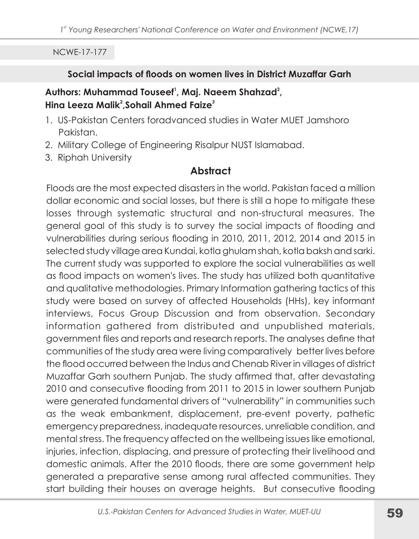### Social impacts of floods on women lives in District Muzaffar Garh

## Authors: Muhammad Touseef<sup>1</sup>, Maj. Naeem Shahzad<sup>2</sup>, Hina Leeza Malik<sup>2</sup>, Sohail Ahmed Faize<sup>3</sup>

- 1. US-Pakistan Centers foradvanced studies in Water MUET Jamshoro Pakistan.
- 2. Military College of Engineering Risalpur NUST Islamabad.
- 3. Riphah University

# **Abstract**

Floods are the most expected disasters in the world. Pakistan faced a million dollar economic and social losses, but there is still a hope to mitigate these losses through systematic structural and non-structural measures. The general goal of this study is to survey the social impacts of flooding and vulnerabilities during serious flooding in 2010, 2011, 2012, 2014 and 2015 in selected study village area Kundai, kotla ghulam shah, kotla baksh and sarki. The current study was supported to explore the social vulnerabilities as well as flood impacts on women's lives. The study has utilized both quantitative and qualitative methodologies. Primary Information gathering tactics of this study were based on survey of affected Households (HHs), key informant interviews, Focus Group Discussion and from observation. Secondary information gathered from distributed and unpublished materials, government files and reports and research reports. The analyses define that communities of the study area were living comparatively better lives before the flood occurred between the Indus and Chenab River in villages of district Muzaffar Garh southern Punjab. The study affirmed that, after devastating 2010 and consecutive flooding from 2011 to 2015 in lower southern Punjab were generated fundamental drivers of "vulnerability" in communities such as the weak embankment, displacement, pre-event poverty, pathetic emergency preparedness, inadequate resources, unreliable condition, and mental stress. The frequency affected on the wellbeing issues like emotional, injuries, infection, displacing, and pressure of protecting their livelihood and domestic animals. After the 2010 floods, there are some government help generated a preparative sense among rural affected communities. They start building their houses on average heights. But consecutive flooding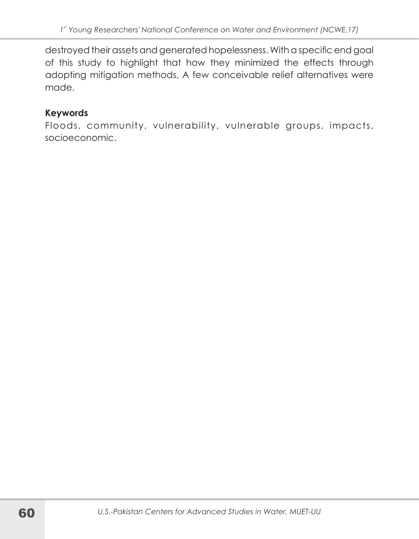destroyed their assets and generated hopelessness. With a specific end goal of this study to highlight that how they minimized the effects through adopting mitigation methods, A few conceivable relief alternatives were made.

# **Keywords**

Floods, community, vulnerability, vulnerable groups, impacts, socioeconomic.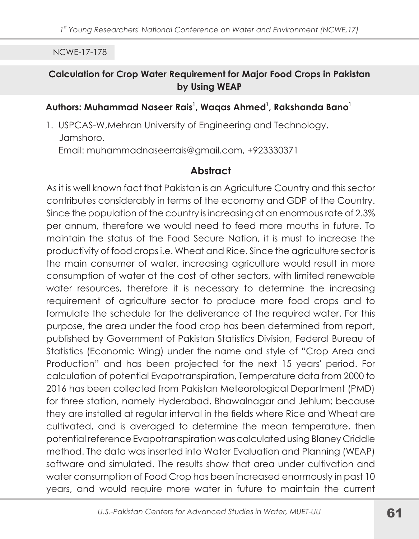### **Calculation for Crop Water Requirement for Major Food Crops in Pakistan** by Using WEAP

#### Authors: Muhammad Naseer Rais<sup>1</sup>, Wagas Ahmed<sup>1</sup>, Rakshanda Bano<sup>1</sup>

1. USPCAS-W, Mehran University of Engineering and Technology, Jamshoro. Email: muhammadnaseerrais@gmail.com, +923330371

# **Abstract**

As it is well known fact that Pakistan is an Agriculture Country and this sector contributes considerably in terms of the economy and GDP of the Country. Since the population of the country is increasing at an enormous rate of 2.3% per annum, therefore we would need to feed more mouths in future. To maintain the status of the Food Secure Nation, it is must to increase the productivity of food crops i.e. Wheat and Rice. Since the agriculture sector is the main consumer of water, increasing agriculture would result in more consumption of water at the cost of other sectors, with limited renewable water resources, therefore it is necessary to determine the increasing requirement of agriculture sector to produce more food crops and to formulate the schedule for the deliverance of the required water. For this purpose, the area under the food crop has been determined from report, published by Government of Pakistan Statistics Division, Federal Bureau of Statistics (Economic Wing) under the name and style of "Crop Area and Production" and has been projected for the next 15 years' period. For calculation of potential Evapotranspiration, Temperature data from 2000 to 2016 has been collected from Pakistan Meteorological Department (PMD) for three station, namely Hyderabad, Bhawalnagar and Jehlum; because they are installed at regular interval in the fields where Rice and Wheat are cultivated, and is averaged to determine the mean temperature, then potential reference Evapotranspiration was calculated using Blaney Criddle method. The data was inserted into Water Evaluation and Planning (WEAP) software and simulated. The results show that area under cultivation and water consumption of Food Crop has been increased enormously in past 10 years, and would require more water in future to maintain the current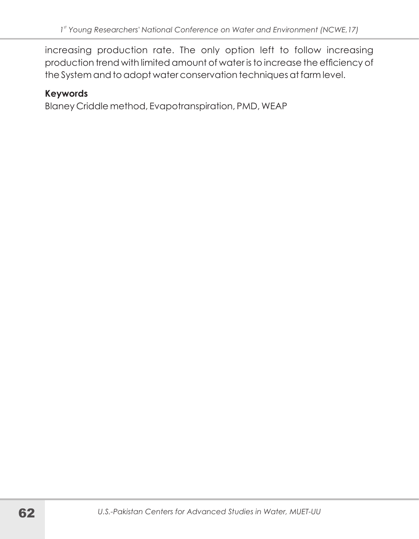increasing production rate. The only option left to follow increasing production trend with limited amount of water is to increase the efficiency of the System and to adopt water conservation techniques at farm level.

# **Keywords**

Blaney Criddle method, Evapotranspiration, PMD, WEAP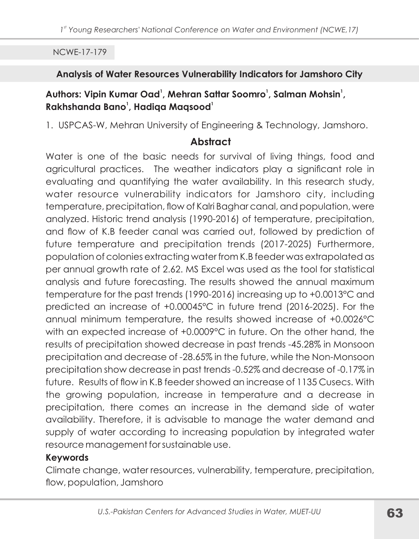### Analysis of Water Resources Vulnerability Indicators for Jamshoro City

# Authors: Vipin Kumar Oad<sup>1</sup>, Mehran Sattar Soomro<sup>1</sup>, Salman Mohsin<sup>1</sup>, Rakhshanda Bano<sup>1</sup>, Hadiga Magsood<sup>1</sup>

1. USPCAS-W, Mehran University of Engineering & Technology, Jamshoro.

# **Abstract**

Water is one of the basic needs for survival of living things, food and agricultural practices. The weather indicators play a significant role in evaluating and quantifying the water availability. In this research study, water resource vulnerability indicators for Jamshoro city, including temperature, precipitation, flow of Kalri Baghar canal, and population, were analyzed. Historic trend analysis (1990-2016) of temperature, precipitation, and flow of K.B feeder canal was carried out, followed by prediction of future temperature and precipitation trends (2017-2025) Furthermore, population of colonies extracting water from K.B feeder was extrapolated as per annual growth rate of 2.62. MS Excel was used as the tool for statistical analysis and future forecasting. The results showed the annual maximum temperature for the past trends (1990-2016) increasing up to +0.0013°C and predicted an increase of +0.00045°C in future trend (2016-2025). For the annual minimum temperature, the results showed increase of +0.0026°C with an expected increase of +0.0009°C in future. On the other hand, the results of precipitation showed decrease in past trends -45.28% in Monsoon precipitation and decrease of -28.65% in the future, while the Non-Monsoon precipitation show decrease in past trends -0.52% and decrease of -0.17% in future. Results of flow in K.B feeder showed an increase of 1135 Cusecs. With the growing population, increase in temperature and a decrease in precipitation, there comes an increase in the demand side of water availability. Therefore, it is advisable to manage the water demand and supply of water according to increasing population by integrated water resource management for sustainable use.

# **Keywords**

Climate change, water resources, vulnerability, temperature, precipitation, flow, population, Jamshoro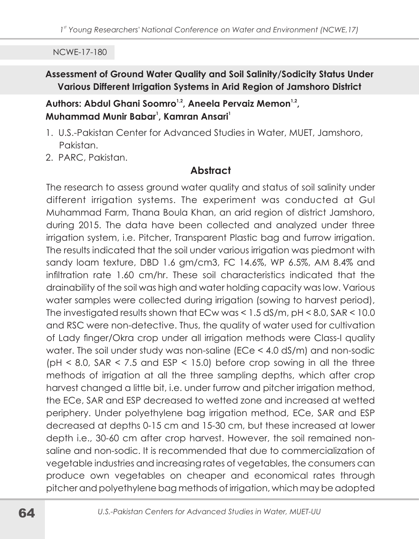# Assessment of Ground Water Quality and Soil Salinity/Sodicity Status Under Various Different Irrigation Systems in Arid Region of Jamshoro District

### Authors: Abdul Ghani Soomro<sup>1,2</sup>, Aneela Pervaiz Memon<sup>1,2</sup>, Muhammad Munir Babar<sup>1</sup>, Kamran Ansari<sup>1</sup>

- 1. U.S.-Pakistan Center for Advanced Studies in Water, MUET, Jamshoro, Pakistan.
- 2. PARC, Pakistan.

# **Abstract**

The research to assess ground water quality and status of soil salinity under different irrigation systems. The experiment was conducted at Gul Muhammad Farm, Thana Boula Khan, an arid region of district Jamshoro, during 2015. The data have been collected and analyzed under three irrigation system, i.e. Pitcher, Transparent Plastic bag and furrow irrigation. The results indicated that the soil under various irrigation was piedmont with sandy loam texture, DBD 1.6 gm/cm3, FC 14.6%, WP 6.5%, AM 8.4% and infiltration rate 1.60 cm/hr. These soil characteristics indicated that the drainability of the soil was high and water holding capacity was low. Various water samples were collected during irrigation (sowing to harvest period), The investigated results shown that ECw was  $< 1.5$  dS/m, pH $< 8.0$ , SAR  $< 10.0$ and RSC were non-detective. Thus, the quality of water used for cultivation of Lady finger/Okra crop under all irrigation methods were Class-I quality water. The soil under study was non-saline (ECe < 4.0 dS/m) and non-sodic ( $pH < 8.0$ , SAR  $< 7.5$  and ESP  $< 15.0$ ) before crop sowing in all the three methods of irrigation at all the three sampling depths, which after crop harvest changed a little bit, i.e. under furrow and pitcher irrigation method, the ECe, SAR and ESP decreased to wetted zone and increased at wetted periphery. Under polyethylene bag irrigation method, ECe, SAR and ESP decreased at depths 0-15 cm and 15-30 cm, but these increased at lower depth i.e., 30-60 cm after crop harvest. However, the soil remained nonsaline and non-sodic. It is recommended that due to commercialization of vegetable industries and increasing rates of vegetables, the consumers can produce own vegetables on cheaper and economical rates through pitcher and polyethylene bag methods of irrigation, which may be adopted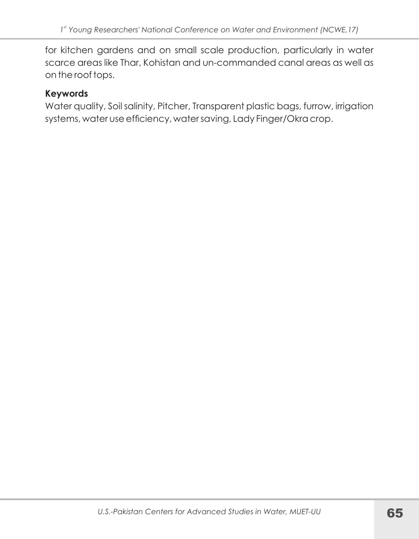for kitchen gardens and on small scale production, particularly in water scarce areas like Thar, Kohistan and un-commanded canal areas as well as on the roof tops.

### **Keywords**

Water quality, Soil salinity, Pitcher, Transparent plastic bags, furrow, irrigation systems, water use efficiency, water saving, Lady Finger/Okracrop.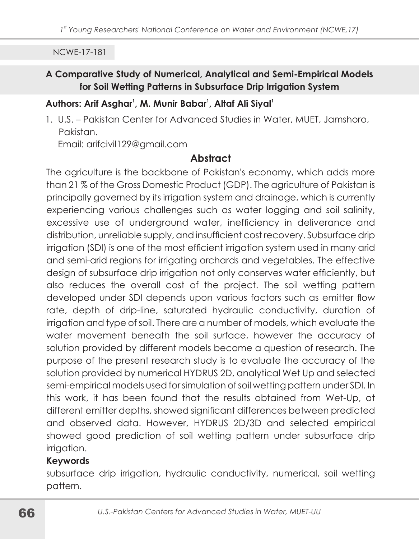### A Comparative Study of Numerical, Analytical and Semi-Empirical Models for Soil Wetting Patterns in Subsurface Drip Irrigation System

### Authors: Arif Asghar<sup>1</sup>, M. Munir Babar<sup>1</sup>, Altaf Ali Siyal<sup>1</sup>

1. U.S. - Pakistan Center for Advanced Studies in Water, MUET, Jamshoro, Pakistan.

Email: arifcivil129@gmail.com

# **Abstract**

The agriculture is the backbone of Pakistan's economy, which adds more than 21 % of the Gross Domestic Product (GDP). The agriculture of Pakistan is principally governed by its irrigation system and drainage, which is currently experiencing various challenges such as water logging and soil salinity, excessive use of underground water, inefficiency in deliverance and distribution, unreliable supply, and insufficient cost recovery. Subsurface drip irrigation (SDI) is one of the most efficient irrigation system used in many arid and semi-arid regions for irrigating orchards and vegetables. The effective design of subsurface drip irrigation not only conserves water efficiently, but also reduces the overall cost of the project. The soil wetting pattern developed under SDI depends upon various factors such as emitter flow rate, depth of drip-line, saturated hydraulic conductivity, duration of irrigation and type of soil. There are a number of models, which evaluate the water movement beneath the soil surface, however the accuracy of solution provided by different models become a question of research. The purpose of the present research study is to evaluate the accuracy of the solution provided by numerical HYDRUS 2D, analytical Wet Up and selected semi-empirical models used for simulation of soil wetting pattern under SDI. In this work, it has been found that the results obtained from Wet-Up, at different emitter depths, showed significant differences between predicted and observed data. However, HYDRUS 2D/3D and selected empirical showed good prediction of soil wetting pattern under subsurface drip irrigation.

### **Keywords**

subsurface drip irrigation, hydraulic conductivity, numerical, soil wetting pattern.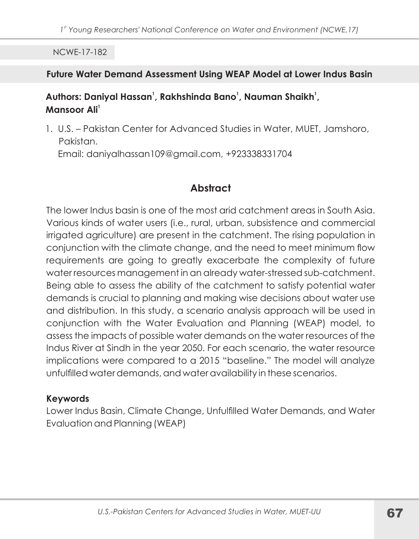### Future Water Demand Assessment Using WEAP Model at Lower Indus Basin

# Authors: Daniyal Hassan<sup>1</sup>, Rakhshinda Bano<sup>1</sup>, Nauman Shaikh<sup>1</sup>, Mansoor Ali<sup>1</sup>

1. U.S. - Pakistan Center for Advanced Studies in Water, MUET, Jamshoro, Pakistan. Email: daniyalhassan109@gmail.com, +923338331704

# **Abstract**

The lower Indus basin is one of the most arid catchment areas in South Asia. Various kinds of water users (i.e., rural, urban, subsistence and commercial irrigated agriculture) are present in the catchment. The rising population in conjunction with the climate change, and the need to meet minimum flow requirements are going to greatly exacerbate the complexity of future water resources management in an already water-stressed sub-catchment. Being able to assess the ability of the catchment to satisfy potential water demands is crucial to planning and making wise decisions about water use and distribution. In this study, a scenario analysis approach will be used in conjunction with the Water Evaluation and Planning (WEAP) model, to assess the impacts of possible water demands on the water resources of the Indus River at Sindh in the year 2050. For each scenario, the water resource implications were compared to a 2015 "baseline." The model will analyze unfulfilled water demands, and water availability in these scenarios.

# **Keywords**

Lower Indus Basin, Climate Change, Unfulfilled Water Demands, and Water Evaluation and Planning (WEAP)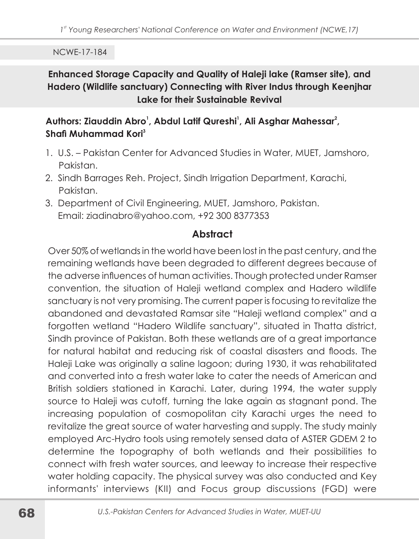Enhanced Storage Capacity and Quality of Haleji lake (Ramser site), and Hadero (Wildlife sanctuary) Connecting with River Indus through Keenjhar Lake for their Sustainable Revival

# Authors: Ziauddin Abro<sup>1</sup>, Abdul Latif Qureshi<sup>1</sup>, Ali Asghar Mahessar<sup>2</sup>, Shafi Muhammad Kori<sup>3</sup>

- 1. U.S. Pakistan Center for Advanced Studies in Water, MUET, Jamshoro, Pakistan.
- 2. Sindh Barrages Reh. Project, Sindh Irrigation Department, Karachi, Pakistan.
- 3. Department of Civil Engineering, MUET, Jamshoro, Pakistan. Email: ziadinabro@yahoo.com, +92 300 8377353

### **Abstract**

Over 50% of wetlands in the world have been lost in the past century, and the remaining wetlands have been degraded to different degrees because of the adverse influences of human activities. Though protected under Ramser convention, the situation of Haleji wetland complex and Hadero wildlife sanctuary is not very promising. The current paper is focusing to revitalize the abandoned and devastated Ramsar site "Haleji wetland complex" and a forgotten wetland "Hadero Wildlife sanctuary", situated in Thatta district, Sindh province of Pakistan. Both these wetlands are of a great importance for natural habitat and reducing risk of coastal disasters and floods. The Haleij Lake was originally a saline lagoon; during 1930, it was rehabilitated and converted into a fresh water lake to cater the needs of American and British soldiers stationed in Karachi. Later, during 1994, the water supply source to Haleji was cutoff, turning the lake again as stagnant pond. The increasing population of cosmopolitan city Karachi urges the need to revitalize the great source of water harvesting and supply. The study mainly employed Arc-Hydro tools using remotely sensed data of ASTER GDEM 2 to determine the topography of both wetlands and their possibilities to connect with fresh water sources, and leeway to increase their respective water holding capacity. The physical survey was also conducted and Key informants' interviews (KII) and Focus group discussions (FGD) were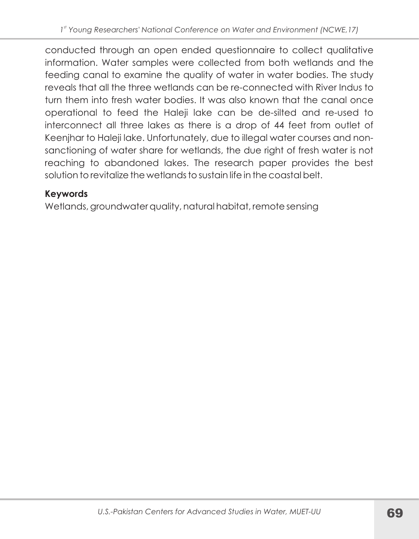conducted through an open ended questionnaire to collect qualitative information. Water samples were collected from both wetlands and the feeding canal to examine the quality of water in water bodies. The study reveals that all the three wetlands can be re-connected with River Indus to turn them into fresh water bodies. It was also known that the canal once operational to feed the Haleji lake can be de-silted and re-used to interconnect all three lakes as there is a drop of 44 feet from outlet of Keenjhar to Haleji lake. Unfortunately, due to illegal water courses and nonsanctioning of water share for wetlands, the due right of fresh water is not reaching to abandoned lakes. The research paper provides the best solution to revitalize the wetlands to sustain life in the coastal belt.

# **Keywords**

Wetlands, groundwater quality, natural habitat, remote sensing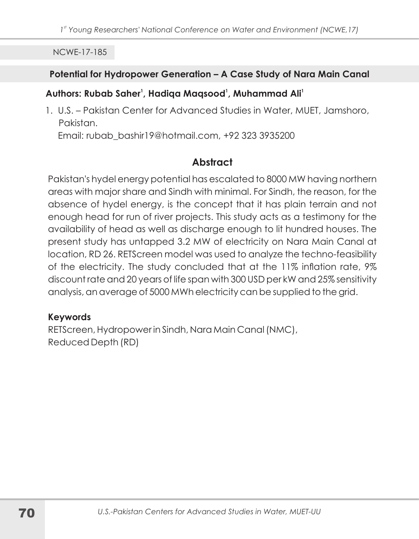### Potential for Hydropower Generation - A Case Study of Nara Main Canal

# Authors: Rubab Saher<sup>1</sup>, Hadiga Magsood<sup>1</sup>, Muhammad Ali<sup>1</sup>

1. U.S. - Pakistan Center for Advanced Studies in Water, MUET, Jamshoro, Pakistan. Email: rubab\_bashir19@hotmail.com, +92 323 3935200

# **Abstract**

Pakistan's hydel energy potential has escalated to 8000 MW having northern areas with major share and Sindh with minimal. For Sindh, the reason, for the absence of hydel energy, is the concept that it has plain terrain and not enough head for run of river projects. This study acts as a testimony for the availability of head as well as discharge enough to lit hundred houses. The present study has untapped 3.2 MW of electricity on Nara Main Canal at location, RD 26. RETScreen model was used to analyze the techno-feasibility of the electricity. The study concluded that at the 11% inflation rate, 9% discount rate and 20 years of life span with 300 USD per kW and 25% sensitivity analysis, an average of 5000 MWh electricity can be supplied to the grid.

### **Keywords**

RETScreen, Hydropower in Sindh, Nara Main Canal (NMC), Reduced Depth (RD)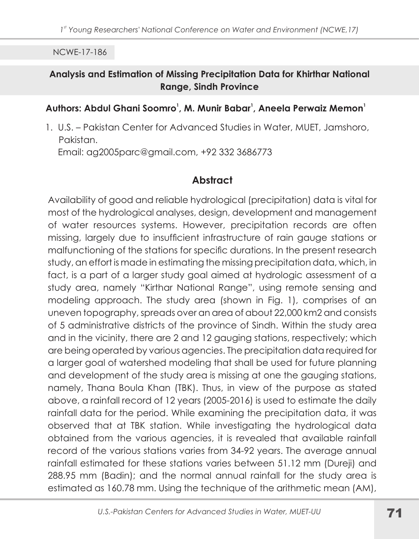### Analysis and Estimation of Missing Precipitation Data for Khirthar National **Range, Sindh Province**

#### Authors: Abdul Ghani Soomro<sup>1</sup>, M. Munir Babar<sup>1</sup>, Aneela Perwaiz Memon<sup>1</sup>

1. U.S. - Pakistan Center for Advanced Studies in Water, MUET, Jamshoro, Pakistan.

Email: ag2005parc@gmail.com, +92 332 3686773

# Abstract

Availability of good and reliable hydrological (precipitation) data is vital for most of the hydrological analyses, design, development and management of water resources systems. However, precipitation records are often missing, largely due to insufficient infrastructure of rain gauge stations or malfunctioning of the stations for specific durations. In the present research study, an effort is made in estimating the missing precipitation data, which, in fact, is a part of a larger study goal aimed at hydrologic assessment of a study area, namely "Kirthar National Range", using remote sensing and modeling approach. The study area (shown in Fig. 1), comprises of an uneven topography, spreads over an area of about 22,000 km2 and consists of 5 administrative districts of the province of Sindh. Within the study area and in the vicinity, there are 2 and 12 gauging stations, respectively; which are being operated by various agencies. The precipitation data required for a larger goal of watershed modeling that shall be used for future planning and development of the study area is missing at one the gauging stations, namely, Thana Boula Khan (TBK). Thus, in view of the purpose as stated above, a rainfall record of 12 years (2005-2016) is used to estimate the daily rainfall data for the period. While examining the precipitation data, it was observed that at TBK station. While investigating the hydrological data obtained from the various agencies, it is revealed that available rainfall record of the various stations varies from 34-92 years. The average annual rainfall estimated for these stations varies between 51.12 mm (Dureji) and 288.95 mm (Badin); and the normal annual rainfall for the study area is estimated as 160.78 mm. Using the technique of the arithmetic mean (AM),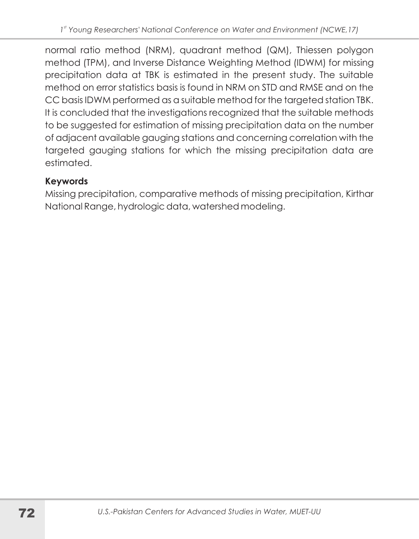normal ratio method (NRM), quadrant method (QM), Thiessen polygon method (TPM), and Inverse Distance Weighting Method (IDWM) for missing precipitation data at TBK is estimated in the present study. The suitable method on error statistics basis is found in NRM on STD and RMSE and on the CC basis IDWM performed as a suitable method for the targeted station TBK. It is concluded that the investigations recognized that the suitable methods to be suggested for estimation of missing precipitation data on the number of adjacent available gauging stations and concerning correlation with the targeted gauging stations for which the missing precipitation data are estimated.

#### **Keywords**

Missing precipitation, comparative methods of missing precipitation, Kirthar National Range, hydrologic data, watershed modeling.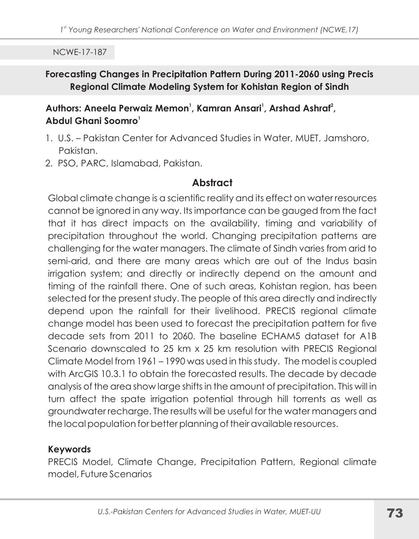#### Forecasting Changes in Precipitation Pattern During 2011-2060 using Precis Regional Climate Modeling System for Kohistan Region of Sindh

#### Authors: Aneela Perwaiz Memon<sup>1</sup>, Kamran Ansari<sup>1</sup>, Arshad Ashraf<sup>2</sup>, Abdul Ghani Soomro<sup>1</sup>

- 1. U.S. Pakistan Center for Advanced Studies in Water, MUET, Jamshoro, Pakistan.
- 2. PSO, PARC, Islamabad, Pakistan.

#### Abstract

Global climate change is a scientific reality and its effect on water resources cannot be ignored in any way. Its importance can be gauged from the fact that it has direct impacts on the availability, timing and variability of precipitation throughout the world. Changing precipitation patterns are challenging for the water managers. The climate of Sindh varies from arid to semi-arid, and there are many areas which are out of the Indus basin irrigation system; and directly or indirectly depend on the amount and timing of the rainfall there. One of such areas, Kohistan region, has been selected for the present study. The people of this area directly and indirectly depend upon the rainfall for their livelihood. PRECIS regional climate change model has been used to forecast the precipitation pattern for five decade sets from 2011 to 2060. The baseline ECHAM5 dataset for A1B Scenario downscaled to 25 km x 25 km resolution with PRECIS Reaional Climate Model from 1961 - 1990 was used in this study. The model is coupled with ArcGIS 10.3.1 to obtain the forecasted results. The decade by decade analysis of the area show large shifts in the amount of precipitation. This will in turn affect the spate irrigation potential through hill torrents as well as groundwater recharge. The results will be useful for the water managers and the local population for better planning of their available resources.

#### **Keywords**

PRECIS Model, Climate Change, Precipitation Pattern, Regional climate model. Future Scenarios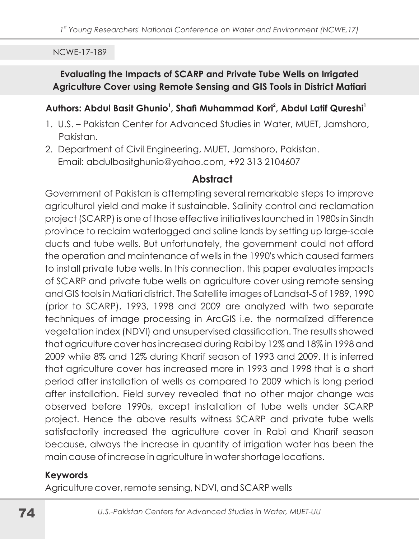#### Evaluating the Impacts of SCARP and Private Tube Wells on Irrigated Agriculture Cover using Remote Sensing and GIS Tools in District Matiari

#### Authors: Abdul Basit Ghunio<sup>1</sup>, Shafi Muhammad Kori<sup>2</sup>, Abdul Latif Qureshi<sup>1</sup>

- 1. U.S. Pakistan Center for Advanced Studies in Water, MUET, Jamshoro, Pakistan.
- 2. Department of Civil Engineering, MUET, Jamshoro, Pakistan. Email: abdulbasitghunio@yahoo.com, +92 313 2104607

#### **Abstract**

Government of Pakistan is attempting several remarkable steps to improve agricultural yield and make it sustainable. Salinity control and reclamation project (SCARP) is one of those effective initiatives launched in 1980s in Sindh province to reclaim waterlogged and saline lands by setting up large-scale ducts and tube wells. But unfortunately, the government could not afford the operation and maintenance of wells in the 1990's which caused farmers to install private tube wells. In this connection, this paper evaluates impacts of SCARP and private tube wells on agriculture cover using remote sensing and GIS tools in Matiari district. The Satellite images of Landsat-5 of 1989, 1990 (prior to SCARP), 1993, 1998 and 2009 are analyzed with two separate techniques of image processing in ArcGIS i.e. the normalized difference vegetation index (NDVI) and unsupervised classification. The results showed that agriculture cover has increased during Rabi by 12% and 18% in 1998 and 2009 while 8% and 12% during Kharif season of 1993 and 2009. It is inferred that agriculture cover has increased more in 1993 and 1998 that is a short period after installation of wells as compared to 2009 which is long period after installation. Field survey revealed that no other major change was observed before 1990s, except installation of tube wells under SCARP project. Hence the above results witness SCARP and private tube wells satisfactorily increased the agriculture cover in Rabi and Kharif season because, always the increase in quantity of irrigation water has been the main cause of increase in agriculture in water shortage locations.

#### **Keywords**

Agriculture cover, remote sensing, NDVI, and SCARP wells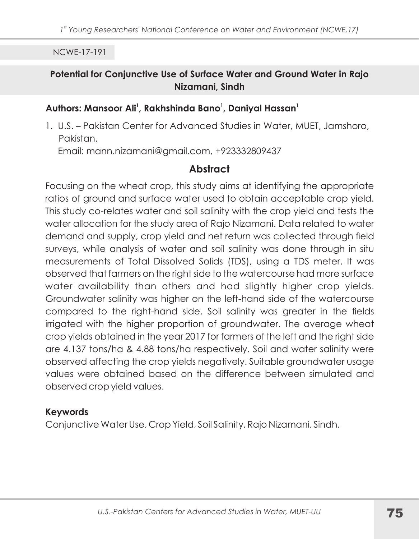#### Potential for Conjunctive Use of Surface Water and Ground Water in Rajo Nizamani, Sindh

#### Authors: Mansoor Ali<sup>1</sup>, Rakhshinda Bano<sup>1</sup>, Daniyal Hassan<sup>1</sup>

1. U.S. - Pakistan Center for Advanced Studies in Water, MUET, Jamshoro, Pakistan.

Email: mann.nizamani@gmail.com, +923332809437

## **Abstract**

Focusing on the wheat crop, this study aims at identifying the appropriate ratios of ground and surface water used to obtain acceptable crop yield. This study co-relates water and soil salinity with the crop yield and tests the water allocation for the study area of Rajo Nizamani. Data related to water demand and supply, crop yield and net return was collected through field surveys, while analysis of water and soil salinity was done through in situ measurements of Total Dissolved Solids (TDS), using a TDS meter. It was observed that farmers on the right side to the watercourse had more surface water availability than others and had slightly higher crop yields. Groundwater salinity was higher on the left-hand side of the watercourse compared to the right-hand side. Soil salinity was greater in the fields irrigated with the higher proportion of groundwater. The average wheat crop yields obtained in the year 2017 for farmers of the left and the right side are 4.137 tons/ha & 4.88 tons/ha respectively. Soil and water salinity were observed affecting the crop yields negatively. Suitable groundwater usage values were obtained based on the difference between simulated and observed crop yield values.

#### **Keywords**

Conjunctive Water Use, Crop Yield, Soil Salinity, Rajo Nizamani, Sindh.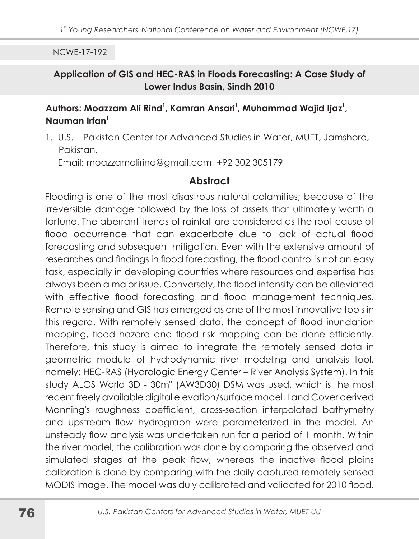#### Application of GIS and HEC-RAS in Floods Forecasting: A Case Study of Lower Indus Basin, Sindh 2010

#### Authors: Moazzam Ali Rind<sup>1</sup>, Kamran Ansari<sup>1</sup>, Muhammad Wajid Ijaz<sup>1</sup>, Nauman Irfan $^1$

1. U.S. - Pakistan Center for Advanced Studies in Water, MUET, Jamshoro, Pakistan.

Email: moazzamalirind@gmail.com, +92 302 305179

#### **Abstract**

Flooding is one of the most disastrous natural calamities; because of the irreversible damage followed by the loss of assets that ultimately worth a fortune. The aberrant trends of rainfall are considered as the root cause of flood occurrence that can exacerbate due to lack of actual flood forecasting and subsequent mitigation. Even with the extensive amount of researches and findings in flood forecasting, the flood control is not an easy task, especially in developing countries where resources and expertise has always been a major issue. Conversely, the flood intensity can be alleviated with effective flood forecasting and flood management techniques. Remote sensing and GIS has emerged as one of the most innovative tools in this regard. With remotely sensed data, the concept of flood inundation mapping, flood hazard and flood risk mapping can be done efficiently. Therefore, this study is aimed to integrate the remotely sensed data in geometric module of hydrodynamic river modeling and analysis tool, namely: HEC-RAS (Hydrologic Energy Center - River Analysis System). In this study ALOS World 3D - 30m" (AW3D30) DSM was used, which is the most recent freely available digital elevation/surface model. Land Cover derived Manning's roughness coefficient, cross-section interpolated bathymetry and upstream flow hydrograph were parameterized in the model. An unsteady flow analysis was undertaken run for a period of 1 month. Within the river model, the calibration was done by comparing the observed and simulated stages at the peak flow, whereas the inactive flood plains calibration is done by comparing with the daily captured remotely sensed MODIS image. The model was duly calibrated and validated for 2010 flood.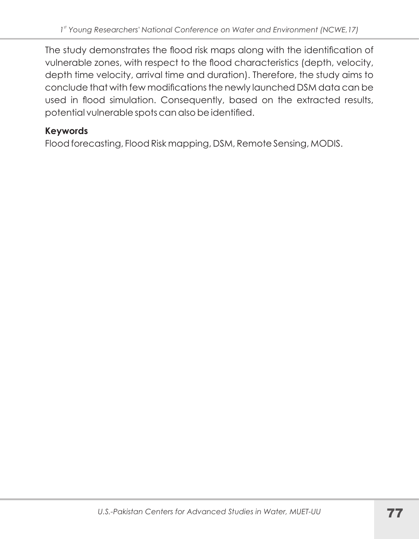The study demonstrates the flood risk maps along with the identification of vulnerable zones, with respect to the flood characteristics (depth, velocity, depth time velocity, arrival time and duration). Therefore, the study aims to conclude that with few modifications the newly launched DSM data can be used in flood simulation. Consequently, based on the extracted results, potential vulnerable spots can also be identified.

#### **Keywords**

Flood forecasting, Flood Risk mapping, DSM, Remote Sensing, MODIS.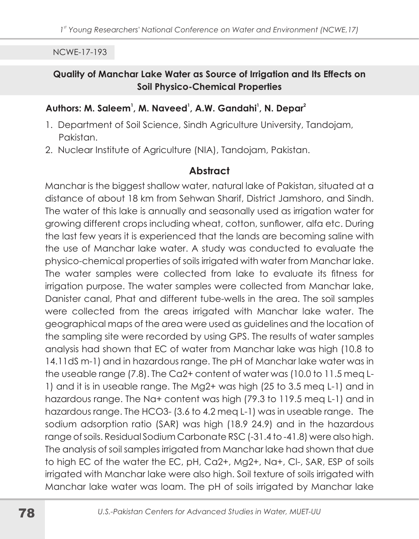#### Quality of Manchar Lake Water as Source of Irrigation and Its Effects on **Soil Physico-Chemical Properties**

#### Authors: M. Saleem<sup>1</sup>, M. Naveed<sup>1</sup>, A.W. Gandahi<sup>1</sup>, N. Depar<sup>2</sup>

- 1. Department of Soil Science, Sindh Agriculture University, Tandojam, Pakistan.
- 2. Nuclear Institute of Agriculture (NIA), Tandojam, Pakistan.

#### **Abstract**

Manchar is the biggest shallow water, natural lake of Pakistan, situated at a distance of about 18 km from Sehwan Sharif, District Jamshoro, and Sindh. The water of this lake is annually and seasonally used as irrigation water for growing different crops including wheat, cotton, sunflower, alfa etc. During the last few years it is experienced that the lands are becoming saline with the use of Manchar lake water. A study was conducted to evaluate the physico-chemical properties of soils irrigated with water from Manchar lake. The water samples were collected from lake to evaluate its fitness for irrigation purpose. The water samples were collected from Manchar lake, Danister canal, Phat and different tube-wells in the area. The soil samples were collected from the areas irrigated with Manchar lake water. The geographical maps of the area were used as quidelines and the location of the sampling site were recorded by using GPS. The results of water samples analysis had shown that EC of water from Manchar lake was high (10.8 to 14.11dS m-1) and in hazardous range. The pH of Manchar lake water was in the useable range (7.8). The Ca2+ content of water was (10.0 to 11.5 meg L-1) and it is in useable range. The Mg2+ was high (25 to 3.5 meg L-1) and in hazardous range. The Na+ content was high (79.3 to 119.5 meg L-1) and in hazardous range. The HCO3- (3.6 to 4.2 meg L-1) was in useable range. The sodium adsorption ratio (SAR) was high (18.9 24.9) and in the hazardous range of soils. Residual Sodium Carbonate RSC (-31.4 to -41.8) were also high. The analysis of soil samples irrigated from Manchar lake had shown that due to high EC of the water the EC, pH, Ca2+, Mg2+, Na+, CI-, SAR, ESP of soils irrigated with Manchar lake were also high. Soil texture of soils irrigated with Manchar lake water was loam. The pH of soils irrigated by Manchar lake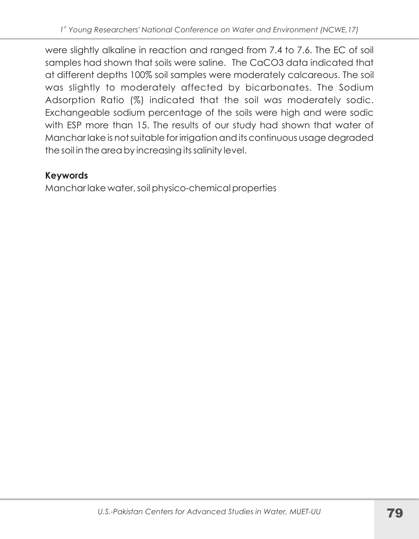were slightly alkaline in reaction and ranged from 7.4 to 7.6. The EC of soil samples had shown that soils were saline. The CaCO3 data indicated that at different depths 100% soil samples were moderately calcareous. The soil was slightly to moderately affected by bicarbonates. The Sodium Adsorption Ratio (%) indicated that the soil was moderately sodic. Exchangeable sodium percentage of the soils were high and were sodic with ESP more than 15. The results of our study had shown that water of Mancharlake is not suitable for irrigation and its continuous usage degraded the soil in the area by increasing its salinity level.

## **Keywords**

Mancharlake water, soil physico-chemical properties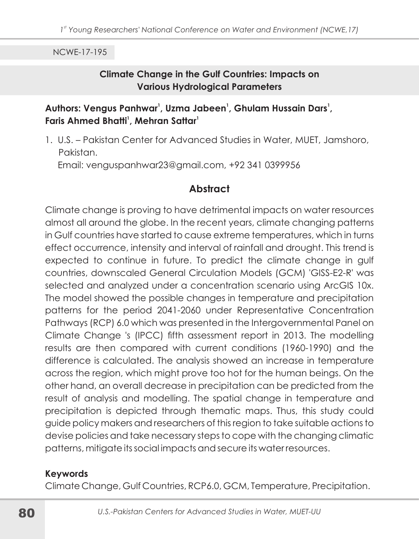#### **Climate Change in the Gulf Countries: Impacts on Various Hydrological Parameters**

#### Authors: Vengus Panhwar<sup>1</sup>, Uzma Jabeen<sup>1</sup>, Ghulam Hussain Dars<sup>1</sup>, Faris Ahmed Bhatti<sup>1</sup>, Mehran Sattar<sup>1</sup>

1. U.S. - Pakistan Center for Advanced Studies in Water, MUET, Jamshoro, Pakistan. Email: venguspanhwar23@gmail.com, +92 341 0399956

#### **Abstract**

Climate change is proving to have detrimental impacts on water resources almost all around the globe. In the recent years, climate changing patterns in Gulf countries have started to cause extreme temperatures, which in turns effect occurrence, intensity and interval of rainfall and drought. This trend is expected to continue in future. To predict the climate change in gulf countries, downscaled General Circulation Models (GCM) 'GISS-E2-R' was selected and analyzed under a concentration scenario using ArcGIS 10x. The model showed the possible changes in temperature and precipitation patterns for the period 2041-2060 under Representative Concentration Pathways (RCP) 6.0 which was presented in the Intergovernmental Panel on Climate Change 's (IPCC) fifth assessment report in 2013. The modelling results are then compared with current conditions (1960-1990) and the difference is calculated. The analysis showed an increase in temperature across the region, which might prove too hot for the human beings. On the other hand, an overall decrease in precipitation can be predicted from the result of analysis and modelling. The spatial change in temperature and precipitation is depicted through thematic maps. Thus, this study could guide policy makers and researchers of this region to take suitable actions to devise policies and take necessary steps to cope with the changing climatic patterns, mitigate its social impacts and secure its water resources.

#### **Keywords**

Climate Change, Gulf Countries, RCP6.0, GCM, Temperature, Precipitation.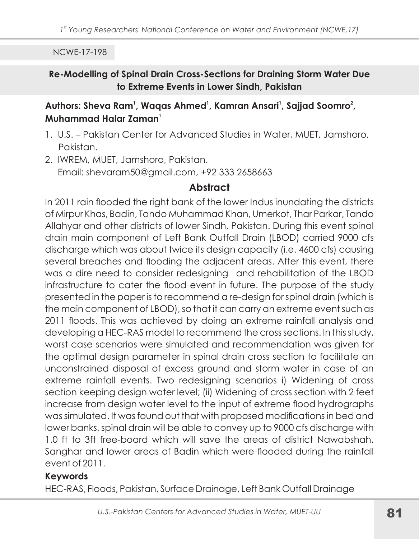#### Re-Modelling of Spinal Drain Cross-Sections for Draining Storm Water Due to Extreme Events in Lower Sindh, Pakistan

#### Authors: Sheva Ram<sup>1</sup>, Waqas Ahmed<sup>1</sup>, Kamran Ansari<sup>1</sup>, Sajjad Soomro<sup>2</sup>, Muhammad Halar Zaman<sup>1</sup>

- 1. U.S. Pakistan Center for Advanced Studies in Water, MUET, Jamshoro, Pakistan.
- 2. IWREM, MUET, Jamshoro, Pakistan. Email: shevaram50@gmail.com, +92 333 2658663

#### **Abstract**

In 2011 rain flooded the right bank of the lower Indus inundating the districts of Mirpur Khas, Badin, Tando Muhammad Khan, Umerkot, Thar Parkar, Tando Allahyar and other districts of lower Sindh, Pakistan. During this event spinal drain main component of Left Bank Outfall Drain (LBOD) carried 9000 cfs discharge which was about twice its design capacity (i.e. 4600 cfs) causing several breaches and flooding the adjacent areas. After this event, there was a dire need to consider redesigning and rehabilitation of the LBOD infrastructure to cater the flood event in future. The purpose of the study presented in the paper is to recommend a re-design for spinal drain (which is the main component of LBOD), so that it can carry an extreme event such as 2011 floods. This was achieved by doing an extreme rainfall analysis and developing a HEC-RAS model to recommend the cross sections. In this study, worst case scenarios were simulated and recommendation was given for the optimal design parameter in spinal drain cross section to facilitate an unconstrained disposal of excess ground and storm water in case of an extreme rainfall events. Two redesigning scenarios i) Widening of cross section keeping design water level; (ii) Widening of cross section with 2 feet increase from design water level to the input of extreme flood hydrographs was simulated. It was found out that with proposed modifications in bed and lower banks, spinal drain will be able to convey up to 9000 cfs discharge with 1.0 ft to 3ft free-board which will save the areas of district Nawabshah. Sanghar and lower areas of Badin which were flooded during the rainfall event of 2011.

#### **Keywords**

HEC-RAS, Floods, Pakistan, Surface Drainage, Left Bank Outfall Drainage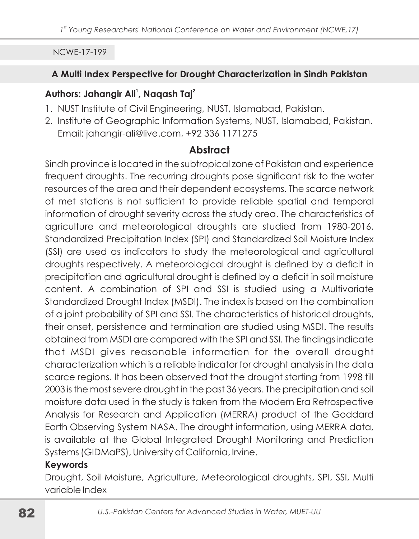#### A Multi Index Perspective for Drought Characterization in Sindh Pakistan

#### Authors: Jahangir Ali<sup>1</sup>, Naqash Taj<sup>2</sup>

- 1. NUST Institute of Civil Engineering, NUST, Islamabad, Pakistan.
- 2. Institute of Geographic Information Systems, NUST, Islamabad, Pakistan. Email: jahangir-ali@live.com, +92 336 1171275

#### **Abstract**

Sindh province is located in the subtropical zone of Pakistan and experience frequent droughts. The recurring droughts pose significant risk to the water resources of the area and their dependent ecosystems. The scarce network of met stations is not sufficient to provide reliable spatial and temporal information of drought severity across the study area. The characteristics of agriculture and meteorological droughts are studied from 1980-2016. Standardized Precipitation Index (SPI) and Standardized Soil Moisture Index (SSI) are used as indicators to study the meteorological and agricultural droughts respectively. A meteorological drought is defined by a deficit in precipitation and agricultural drought is defined by a deficit in soil moisture content. A combination of SPI and SSI is studied using a Multivariate Standardized Drought Index (MSDI). The index is based on the combination of a joint probability of SPI and SSI. The characteristics of historical droughts, their onset, persistence and termination are studied using MSDI. The results obtained from MSDI are compared with the SPI and SSI. The findings indicate that MSDI gives reasonable information for the overall drought characterization which is a reliable indicator for drought analysis in the data scarce regions. It has been observed that the drought starting from 1998 till 2003 is the most severe drought in the past 36 years. The precipitation and soil moisture data used in the study is taken from the Modern Era Retrospective Analysis for Research and Application (MERRA) product of the Goddard Earth Observing System NASA. The drought information, using MERRA data, is available at the Global Integrated Drought Monitoring and Prediction Systems (GIDMaPS), University of California, Irvine.

#### **Kevwords**

Drought, Soil Moisture, Agriculture, Meteorological droughts, SPI, SSI, Multi variable Index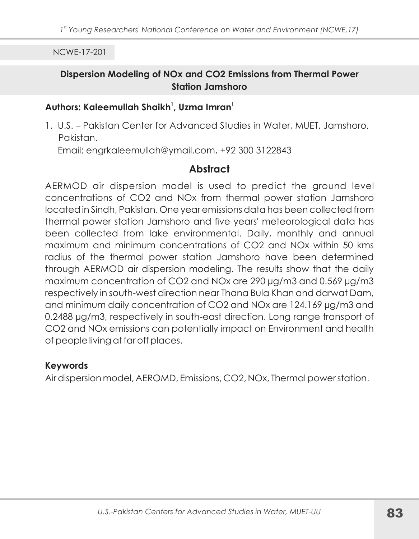#### Dispersion Modeling of NOx and CO2 Emissions from Thermal Power **Station Jamshoro**

#### Authors: Kaleemullah Shaikh<sup>1</sup>, Uzma Imran<sup>1</sup>

1. U.S. - Pakistan Center for Advanced Studies in Water, MUET, Jamshoro, Pakistan.

Email: engrkaleemullah@ymail.com, +92 300 3122843

## Abstract

AERMOD air dispersion model is used to predict the ground level concentrations of CO2 and NO<sub>x</sub> from thermal power station Jamshoro located in Sindh, Pakistan. One year emissions data has been collected from thermal power station Jamshoro and five years' meteorological data has been collected from lake environmental. Daily, monthly and annual maximum and minimum concentrations of CO2 and NOx within 50 kms radius of the thermal power station Jamshoro have been determined through AERMOD air dispersion modeling. The results show that the daily maximum concentration of CO2 and NOx are 290 µg/m3 and 0.569 µg/m3 respectively in south-west direction near Thana Bula Khan and darwat Dam, and minimum daily concentration of CO2 and NOx are 124.169 µg/m3 and 0.2488 µg/m3, respectively in south-east direction. Long range transport of CO2 and NOx emissions can potentially impact on Environment and health of people living at far off places.

#### **Kevwords**

Air dispersion model, AEROMD, Emissions, CO2, NOx, Thermal power station.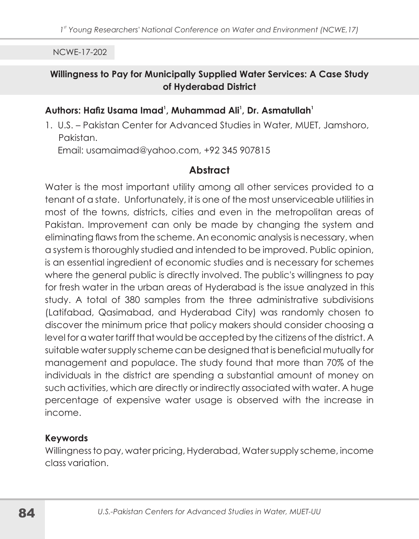#### Willingness to Pay for Municipally Supplied Water Services: A Case Study of Hyderabad District

## Authors: Hafiz Usama Imad<sup>1</sup>, Muhammad Ali<sup>1</sup>, Dr. Asmatullah<sup>1</sup>

1. U.S. - Pakistan Center for Advanced Studies in Water, MUET, Jamshoro, Pakistan

Email: usamaimad@yahoo.com, +92 345 907815

## **Abstract**

Water is the most important utility among all other services provided to a tenant of a state. Unfortunately, it is one of the most unserviceable utilities in most of the towns, districts, cities and even in the metropolitan areas of Pakistan. Improvement can only be made by changing the system and eliminating flaws from the scheme. An economic analysis is necessary, when a system is thoroughly studied and intended to be improved. Public opinion, is an essential ingredient of economic studies and is necessary for schemes where the general public is directly involved. The public's willingness to pay for fresh water in the urban areas of Hyderabad is the issue analyzed in this study. A total of 380 samples from the three administrative subdivisions (Latifabad, Qasimabad, and Hyderabad City) was randomly chosen to discover the minimum price that policy makers should consider choosing a level for a water tariff that would be accepted by the citizens of the district. A suitable water supply scheme can be designed that is beneficial mutually for management and populace. The study found that more than 70% of the individuals in the district are spending a substantial amount of money on such activities, which are directly or indirectly associated with water. A huge percentage of expensive water usage is observed with the increase in income.

#### **Keywords**

Willingness to pay, water pricing, Hyderabad, Water supply scheme, income class variation.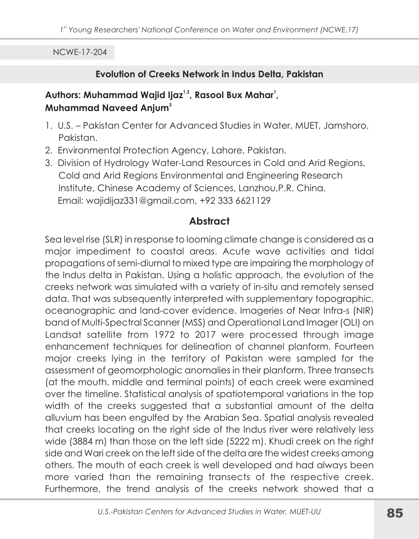#### Evolution of Creeks Network in Indus Delta, Pakistan

#### Authors: Muhammad Wajid Ijaz<sup>1,2</sup>, Rasool Bux Mahar<sup>1</sup>, **Muhammad Naveed Anium<sup>3</sup>**

- 1. U.S. Pakistan Center for Advanced Studies in Water, MUET, Jamshoro, Pakistan.
- 2. Environmental Protection Agency, Lahore, Pakistan.
- 3. Division of Hydrology Water-Land Resources in Cold and Arid Regions, Cold and Arid Regions Environmental and Engineering Research Institute, Chinese Academy of Sciences, Lanzhou, P.R. China. Email: wajidijaz331@gmail.com, +92 333 6621129

## **Abstract**

Sea level rise (SLR) in response to looming climate change is considered as a major impediment to coastal areas. Acute wave activities and tidal propagations of semi-diurnal to mixed type are impairing the morphology of the Indus delta in Pakistan. Using a holistic approach, the evolution of the creeks network was simulated with a variety of in-situ and remotely sensed data. That was subsequently interpreted with supplementary topographic, oceanographic and land-cover evidence. Imageries of Near Infra-s (NIR) band of Multi-Spectral Scanner (MSS) and Operational Land Imager (OLI) on Landsat satellite from 1972 to 2017 were processed through image enhancement techniques for delineation of channel planform. Fourteen major creeks lying in the territory of Pakistan were sampled for the assessment of geomorphologic anomalies in their planform. Three transects (at the mouth, middle and terminal points) of each creek were examined over the timeline. Statistical analysis of spatiotemporal variations in the top width of the creeks suggested that a substantial amount of the delta alluvium has been engulfed by the Arabian Sea. Spatial analysis revealed that creeks locating on the right side of the Indus river were relatively less wide (3884 m) than those on the left side (5222 m). Khudi creek on the right side and Wari creek on the left side of the delta are the widest creeks among others. The mouth of each creek is well developed and had always been more varied than the remaining transects of the respective creek. Furthermore, the trend analysis of the creeks network showed that a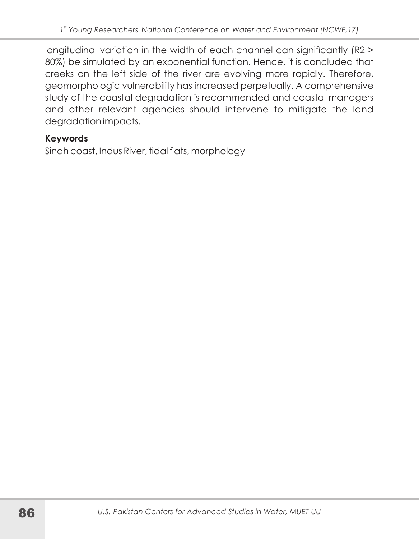longitudinal variation in the width of each channel can significantly (R2 > 80%) be simulated by an exponential function. Hence, it is concluded that creeks on the left side of the river are evolving more rapidly. Therefore, geomorphologic vulnerability has increased perpetually. A comprehensive study of the coastal degradation is recommended and coastal managers and other relevant agencies should intervene to mitigate the land degradation impacts.

#### **Keywords**

Sindh coast, Indus River, tidal flats, morphology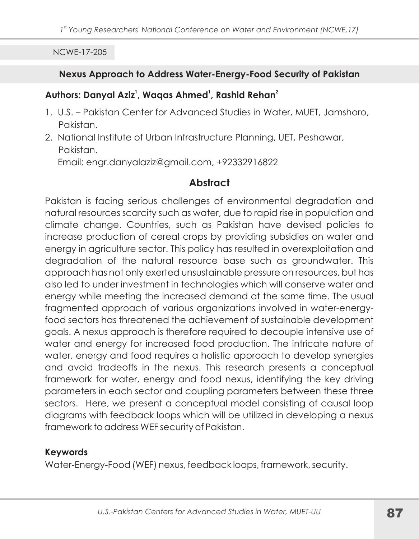#### Nexus Approach to Address Water-Energy-Food Security of Pakistan

#### Authors: Danyal Aziz<sup>1</sup>, Waqas Ahmed<sup>1</sup>, Rashid Rehan<sup>2</sup>

- 1. U.S. Pakistan Center for Advanced Studies in Water, MUET, Jamshoro, Pakistan.
- 2. National Institute of Urban Infrastructure Planning, UET, Peshawar, Pakistan.

Email: engr.danyalaziz@gmail.com, +92332916822

## **Abstract**

Pakistan is facing serious challenges of environmental degradation and natural resources scarcity such as water, due to rapid rise in population and climate change. Countries, such as Pakistan have devised policies to increase production of cereal crops by providing subsidies on water and energy in agriculture sector. This policy has resulted in overexploitation and degradation of the natural resource base such as groundwater. This approach has not only exerted unsustainable pressure on resources, but has also led to under investment in technologies which will conserve water and energy while meeting the increased demand at the same time. The usual fragmented approach of various organizations involved in water-energyfood sectors has threatened the achievement of sustainable development goals. A nexus approach is therefore required to decouple intensive use of water and energy for increased food production. The intricate nature of water, energy and food requires a holistic approach to develop synergies and avoid tradeoffs in the nexus. This research presents a conceptual framework for water, energy and food nexus, identifying the key driving parameters in each sector and coupling parameters between these three sectors. Here, we present a conceptual model consisting of causal loop diagrams with feedback loops which will be utilized in developing a nexus framework to address WEF security of Pakistan.

#### **Keywords**

Water-Energy-Food (WEF) nexus, feedback loops, framework, security.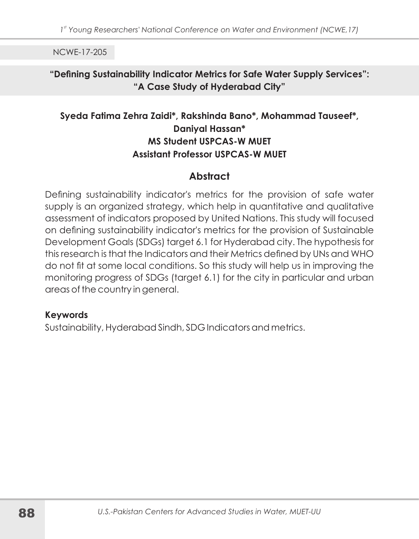#### "Defining Sustainability Indicator Metrics for Safe Water Supply Services": "A Case Study of Hyderabad City"

## Syeda Fatima Zehra Zaidi\*, Rakshinda Bano\*, Mohammad Tauseef\*, **Danival Hassan\* MS Student USPCAS-W MUET Assistant Professor USPCAS-W MUET**

## **Abstract**

Defining sustainability indicator's metrics for the provision of safe water supply is an organized strategy, which help in quantitative and qualitative assessment of indicators proposed by United Nations. This study will focused on defining sustainability indicator's metrics for the provision of Sustainable Development Goals (SDGs) target 6.1 for Hyderabad city. The hypothesis for this research is that the Indicators and their Metrics defined by UNs and WHO do not fit at some local conditions. So this study will help us in improving the monitoring progress of SDGs (target 6.1) for the city in particular and urban areas of the country in general.

#### **Keywords**

Sustainability, Hyderabad Sindh, SDG Indicators and metrics.